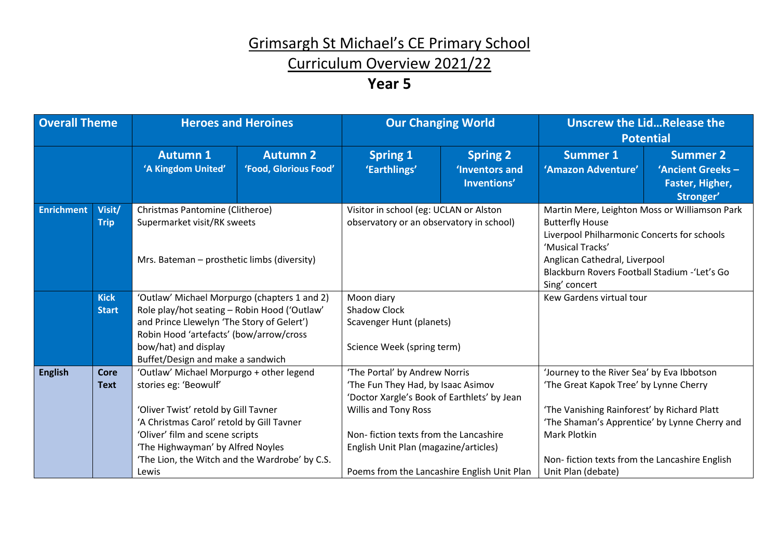### Curriculum Overview 2021/22

| <b>Overall Theme</b> |                             |                                                                                                                                                                                                                                                                                           | <b>Heroes and Heroines</b>               | <b>Our Changing World</b>                                                                                                                                                                                                                                                   |                                                  | <b>Unscrew the LidRelease the</b><br><b>Potential</b>                                                                                                                                                                                                                              |                                                                     |  |
|----------------------|-----------------------------|-------------------------------------------------------------------------------------------------------------------------------------------------------------------------------------------------------------------------------------------------------------------------------------------|------------------------------------------|-----------------------------------------------------------------------------------------------------------------------------------------------------------------------------------------------------------------------------------------------------------------------------|--------------------------------------------------|------------------------------------------------------------------------------------------------------------------------------------------------------------------------------------------------------------------------------------------------------------------------------------|---------------------------------------------------------------------|--|
|                      |                             | <b>Autumn 1</b><br>'A Kingdom United'                                                                                                                                                                                                                                                     | <b>Autumn 2</b><br>'Food, Glorious Food' | <b>Spring 1</b><br>'Earthlings'                                                                                                                                                                                                                                             | <b>Spring 2</b><br>'Inventors and<br>Inventions' | <b>Summer 1</b><br>'Amazon Adventure'                                                                                                                                                                                                                                              | <b>Summer 2</b><br>'Ancient Greeks-<br>Faster, Higher,<br>Stronger' |  |
| <b>Enrichment</b>    | Visit/<br><b>Trip</b>       | Christmas Pantomine (Clitheroe)<br>Supermarket visit/RK sweets<br>Mrs. Bateman – prosthetic limbs (diversity)                                                                                                                                                                             |                                          | Visitor in school (eg: UCLAN or Alston<br>observatory or an observatory in school)                                                                                                                                                                                          |                                                  | Martin Mere, Leighton Moss or Williamson Park<br><b>Butterfly House</b><br>Liverpool Philharmonic Concerts for schools<br>'Musical Tracks'<br>Anglican Cathedral, Liverpool<br>Blackburn Rovers Football Stadium - 'Let's Go<br>Sing' concert                                      |                                                                     |  |
|                      | <b>Kick</b><br><b>Start</b> | 'Outlaw' Michael Morpurgo (chapters 1 and 2)<br>Role play/hot seating - Robin Hood ('Outlaw'<br>and Prince Llewelyn 'The Story of Gelert')<br>Robin Hood 'artefacts' (bow/arrow/cross<br>bow/hat) and display<br>Buffet/Design and make a sandwich                                        |                                          | Moon diary<br><b>Shadow Clock</b><br>Scavenger Hunt (planets)<br>Science Week (spring term)                                                                                                                                                                                 |                                                  | Kew Gardens virtual tour                                                                                                                                                                                                                                                           |                                                                     |  |
| <b>English</b>       | Core<br><b>Text</b>         | 'Outlaw' Michael Morpurgo + other legend<br>stories eg: 'Beowulf'<br>'Oliver Twist' retold by Gill Tavner<br>'A Christmas Carol' retold by Gill Tavner<br>'Oliver' film and scene scripts<br>'The Highwayman' by Alfred Noyles<br>'The Lion, the Witch and the Wardrobe' by C.S.<br>Lewis |                                          | 'The Portal' by Andrew Norris<br>'The Fun They Had, by Isaac Asimov<br>'Doctor Xargle's Book of Earthlets' by Jean<br>Willis and Tony Ross<br>Non-fiction texts from the Lancashire<br>English Unit Plan (magazine/articles)<br>Poems from the Lancashire English Unit Plan |                                                  | 'Journey to the River Sea' by Eva Ibbotson<br>'The Great Kapok Tree' by Lynne Cherry<br>'The Vanishing Rainforest' by Richard Platt<br>'The Shaman's Apprentice' by Lynne Cherry and<br><b>Mark Plotkin</b><br>Non-fiction texts from the Lancashire English<br>Unit Plan (debate) |                                                                     |  |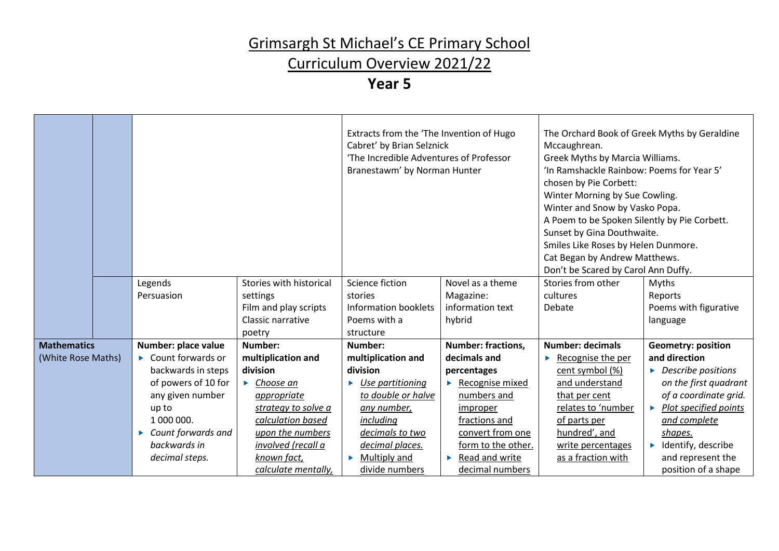### Curriculum Overview 2021/22

|                    | Legends<br>Stories with historical |                                 | Extracts from the 'The Invention of Hugo<br>Cabret' by Brian Selznick<br>'The Incredible Adventures of Professor<br>Branestawm' by Norman Hunter |                                       | The Orchard Book of Greek Myths by Geraldine<br>Mccaughrean.<br>Greek Myths by Marcia Williams.<br>'In Ramshackle Rainbow: Poems for Year 5'<br>chosen by Pie Corbett:<br>Winter Morning by Sue Cowling.<br>Winter and Snow by Vasko Popa.<br>A Poem to be Spoken Silently by Pie Corbett.<br>Sunset by Gina Douthwaite.<br>Smiles Like Roses by Helen Dunmore.<br>Cat Began by Andrew Matthews.<br>Don't be Scared by Carol Ann Duffy. |                                             |
|--------------------|------------------------------------|---------------------------------|--------------------------------------------------------------------------------------------------------------------------------------------------|---------------------------------------|-----------------------------------------------------------------------------------------------------------------------------------------------------------------------------------------------------------------------------------------------------------------------------------------------------------------------------------------------------------------------------------------------------------------------------------------|---------------------------------------------|
|                    |                                    |                                 | Science fiction                                                                                                                                  | Novel as a theme                      | Stories from other                                                                                                                                                                                                                                                                                                                                                                                                                      | <b>Myths</b>                                |
|                    | Persuasion                         | settings                        | stories                                                                                                                                          | Magazine:                             | cultures                                                                                                                                                                                                                                                                                                                                                                                                                                | Reports                                     |
|                    |                                    | Film and play scripts           | Information booklets                                                                                                                             | information text                      | Debate                                                                                                                                                                                                                                                                                                                                                                                                                                  | Poems with figurative                       |
|                    |                                    | Classic narrative               | Poems with a                                                                                                                                     | hybrid                                |                                                                                                                                                                                                                                                                                                                                                                                                                                         | language                                    |
|                    |                                    | poetry                          | structure                                                                                                                                        |                                       |                                                                                                                                                                                                                                                                                                                                                                                                                                         |                                             |
| <b>Mathematics</b> | Number: place value                | Number:                         | Number:                                                                                                                                          | <b>Number: fractions,</b>             | <b>Number: decimals</b>                                                                                                                                                                                                                                                                                                                                                                                                                 | <b>Geometry: position</b>                   |
| (White Rose Maths) | Count forwards or                  | multiplication and              | multiplication and                                                                                                                               | decimals and                          | Recognise the per                                                                                                                                                                                                                                                                                                                                                                                                                       | and direction                               |
|                    | backwards in steps                 | division                        | division                                                                                                                                         | percentages                           | cent symbol (%)                                                                                                                                                                                                                                                                                                                                                                                                                         | $\triangleright$ Describe positions         |
|                    | of powers of 10 for                | $\blacktriangleright$ Choose an | $\triangleright$ Use partitioning                                                                                                                | $\blacktriangleright$ Recognise mixed | and understand                                                                                                                                                                                                                                                                                                                                                                                                                          | on the first quadrant                       |
|                    | any given number                   | appropriate                     | to double or halve                                                                                                                               | numbers and                           | that per cent                                                                                                                                                                                                                                                                                                                                                                                                                           | of a coordinate grid.                       |
|                    | up to                              | strategy to solve a             | any number,                                                                                                                                      | improper                              | relates to 'number                                                                                                                                                                                                                                                                                                                                                                                                                      | $\blacktriangleright$ Plot specified points |
|                    | 1 000 000.                         | calculation based               | including                                                                                                                                        | fractions and                         | of parts per                                                                                                                                                                                                                                                                                                                                                                                                                            | and complete                                |
|                    | Count forwards and                 | upon the numbers                | decimals to two                                                                                                                                  | convert from one                      | hundred', and                                                                                                                                                                                                                                                                                                                                                                                                                           | shapes.                                     |
|                    | backwards in                       | involved (recall a              | decimal places.                                                                                                                                  | form to the other.                    | write percentages                                                                                                                                                                                                                                                                                                                                                                                                                       | $\blacktriangleright$ Identify, describe    |
|                    | decimal steps.                     | known fact,                     | $\triangleright$ Multiply and                                                                                                                    | Read and write<br>Þ.                  | as a fraction with                                                                                                                                                                                                                                                                                                                                                                                                                      | and represent the                           |
|                    |                                    | calculate mentally,             | divide numbers                                                                                                                                   | decimal numbers                       |                                                                                                                                                                                                                                                                                                                                                                                                                                         | position of a shape                         |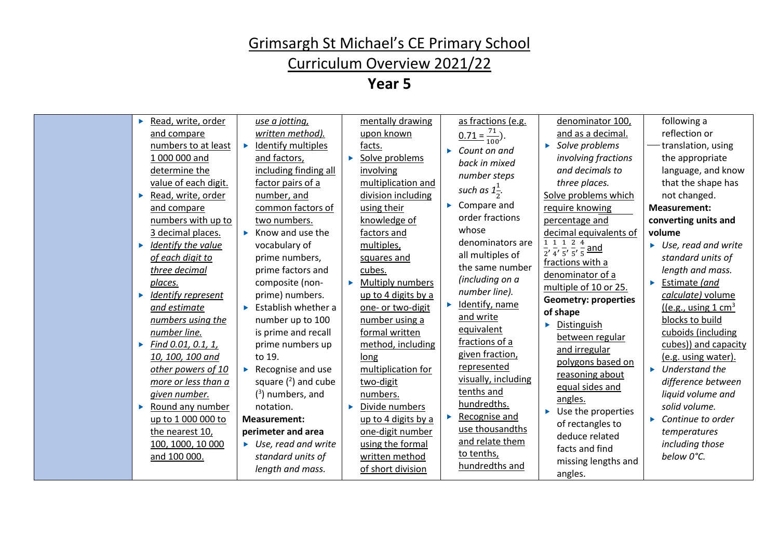### Curriculum Overview 2021/22

| ь | Read, write, order   |    | use a jotting,                       |   | mentally drawing    |   | as fractions (e.g.                    | denominator 100,                                                                               | following a                          |
|---|----------------------|----|--------------------------------------|---|---------------------|---|---------------------------------------|------------------------------------------------------------------------------------------------|--------------------------------------|
|   | and compare          |    | written method).                     |   | upon known          |   | $\frac{0.71 = \frac{71}{100}}{100}$ . | and as a decimal.                                                                              | reflection or                        |
|   | numbers to at least  | ь  | Identify multiples                   |   | facts.              | ь | Count on and                          | Solve problems                                                                                 | translation, using                   |
|   | 1 000 000 and        |    | and factors,                         | ь | Solve problems      |   | back in mixed                         | involving fractions                                                                            | the appropriate                      |
|   | determine the        |    | including finding all                |   | involving           |   | number steps                          | and decimals to                                                                                | language, and know                   |
|   | value of each digit. |    | factor pairs of a                    |   | multiplication and  |   |                                       | three places.                                                                                  | that the shape has                   |
| ▶ | Read, write, order   |    | number, and                          |   | division including  |   | such as $1\frac{1}{2}$ .              | Solve problems which                                                                           | not changed.                         |
|   | and compare          |    | common factors of                    |   | using their         |   | $\triangleright$ Compare and          | require knowing                                                                                | <b>Measurement:</b>                  |
|   | numbers with up to   |    | two numbers.                         |   | knowledge of        |   | order fractions                       | percentage and                                                                                 | converting units and                 |
|   | 3 decimal places.    |    | Know and use the                     |   | factors and         |   | whose                                 | decimal equivalents of                                                                         | volume                               |
| Þ | Identify the value   |    | vocabulary of                        |   | multiples,          |   | denominators are                      | 1 1 1 2 4<br>$\frac{1}{2}$ , $\frac{1}{4}$ , $\frac{1}{5}$ , $\frac{1}{5}$ , $\frac{1}{5}$ and | $\triangleright$ Use, read and write |
|   | of each digit to     |    | prime numbers,                       |   | squares and         |   | all multiples of                      | fractions with a                                                                               | standard units of                    |
|   | three decimal        |    | prime factors and                    |   | cubes.              |   | the same number                       | denominator of a                                                                               | length and mass.                     |
|   | places.              |    | composite (non-                      | ь | Multiply numbers    |   | (including on a                       | multiple of 10 or 25.                                                                          | Estimate (and                        |
| ь | Identify represent   |    | prime) numbers.                      |   | up to 4 digits by a |   | number line).                         | <b>Geometry: properties</b>                                                                    | calculate) volume                    |
|   | and estimate         | ь  | Establish whether a                  |   | one- or two-digit   |   | Identify, name                        | of shape                                                                                       | $($ (e.g., using $1 \text{ cm}^3$    |
|   | numbers using the    |    | number up to 100                     |   | number using a      |   | and write                             | Distinguish                                                                                    | blocks to build                      |
|   | number line.         |    | is prime and recall                  |   | formal written      |   | equivalent                            | between regular                                                                                | cuboids (including                   |
| Þ | Find 0.01, 0.1, 1,   |    | prime numbers up                     |   | method, including   |   | fractions of a                        | and irregular                                                                                  | cubes)) and capacity                 |
|   | 10, 100, 100 and     |    | to 19.                               |   | long                |   | given fraction,                       | polygons based on                                                                              | (e.g. using water).                  |
|   | other powers of 10   | Þ. | Recognise and use                    |   | multiplication for  |   | represented                           | reasoning about                                                                                | Understand the                       |
|   | more or less than a  |    | square $(2)$ and cube                |   | two-digit           |   | visually, including<br>tenths and     | equal sides and                                                                                | difference between                   |
|   | given number.        |    | $(3)$ numbers, and                   |   | numbers.            |   | hundredths.                           | angles.                                                                                        | liquid volume and                    |
| ▶ | Round any number     |    | notation.                            | ь | Divide numbers      |   | Recognise and                         | Use the properties                                                                             | solid volume.                        |
|   | up to 1 000 000 to   |    | <b>Measurement:</b>                  |   | up to 4 digits by a |   | use thousandths                       | of rectangles to                                                                               | $\triangleright$ Continue to order   |
|   | the nearest 10,      |    | perimeter and area                   |   | one-digit number    |   | and relate them                       | deduce related                                                                                 | temperatures                         |
|   | 100, 1000, 10 000    |    | $\triangleright$ Use, read and write |   | using the formal    |   | to tenths,                            | facts and find                                                                                 | including those                      |
|   | and 100 000.         |    | standard units of                    |   | written method      |   | hundredths and                        | missing lengths and                                                                            | below 0°C.                           |
|   |                      |    | length and mass.                     |   | of short division   |   |                                       | angles.                                                                                        |                                      |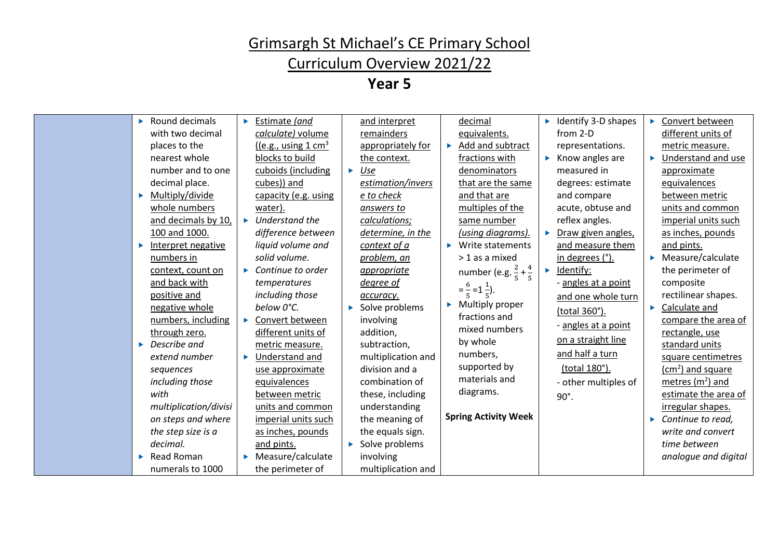### Curriculum Overview 2021/22

| Ы | Round decimals<br>with two decimal       | × | Estimate (and<br>calculate) volume                           |   | and interpret<br>remainders                  |    | decimal<br>equivalents.                                  |   | $\blacktriangleright$ Identify 3-D shapes<br>from 2-D     | Convert between<br>different units of                 |
|---|------------------------------------------|---|--------------------------------------------------------------|---|----------------------------------------------|----|----------------------------------------------------------|---|-----------------------------------------------------------|-------------------------------------------------------|
|   | places to the<br>nearest whole           |   | $\frac{1}{e.g.,}$ using 1 cm <sup>3</sup><br>blocks to build |   | appropriately for<br>the context.            |    | Add and subtract<br>fractions with                       |   | representations.<br>$\blacktriangleright$ Know angles are | metric measure.<br>Understand and use                 |
|   | number and to one<br>decimal place.      |   | cuboids (including<br>cubes)) and                            | × | Use<br>estimation/invers                     |    | denominators<br>that are the same                        |   | measured in<br>degrees: estimate                          | approximate<br>equivalences                           |
| × | Multiply/divide<br>whole numbers         |   | capacity (e.g. using<br>water).                              |   | e to check<br>answers to                     |    | and that are<br>multiples of the                         |   | and compare<br>acute, obtuse and                          | between metric<br>units and common                    |
|   | and decimals by 10,<br>100 and 1000.     | Ы | Understand the<br>difference between                         |   | calculations;<br>determine, in the           |    | same number<br>(using diagrams).                         |   | reflex angles.<br>Draw given angles,                      | imperial units such<br>as inches, pounds              |
| × | Interpret negative<br>numbers in         |   | liquid volume and<br>solid volume.                           |   | context of a<br>problem, an                  |    | $\blacktriangleright$ Write statements<br>> 1 as a mixed |   | and measure them<br>in degrees (°).                       | and pints.<br>$\blacktriangleright$ Measure/calculate |
|   | context, count on<br>and back with       | ▶ | Continue to order<br>temperatures                            |   | appropriate<br>degree of                     |    | number (e.g. $\frac{2}{5} + \frac{4}{5}$                 | ▶ | Identify:<br>- angles at a point                          | the perimeter of<br>composite                         |
|   | positive and<br>negative whole           |   | including those<br>below 0°C.                                |   | accuracy.<br>Solve problems                  | Þ. | $=\frac{6}{5}=1\frac{1}{5}$ .<br>Multiply proper         |   | and one whole turn<br>(total 360°).                       | rectilinear shapes.<br>Calculate and                  |
|   | numbers, including<br>through zero.      | ь | Convert between<br>different units of                        |   | involving<br>addition,                       |    | fractions and<br>mixed numbers                           |   | - angles at a point                                       | compare the area of<br>rectangle, use                 |
| ь | Describe and<br>extend number            | ь | metric measure.<br>Understand and                            |   | subtraction,<br>multiplication and           |    | by whole<br>numbers,                                     |   | on a straight line<br>and half a turn                     | standard units<br>square centimetres                  |
|   | sequences<br>including those             |   | use approximate<br>equivalences                              |   | division and a<br>combination of             |    | supported by<br>materials and                            |   | (total 180°).<br>- other multiples of                     | $(cm2)$ and square<br>metres $(m2)$ and               |
|   | with<br>multiplication/divisi            |   | between metric<br>units and common                           |   | these, including<br>understanding            |    | diagrams.                                                |   | $90^\circ$ .                                              | estimate the area of<br>irregular shapes.             |
|   | on steps and where<br>the step size is a |   | imperial units such<br>as inches, pounds                     |   | the meaning of<br>the equals sign.           |    | <b>Spring Activity Week</b>                              |   |                                                           | Continue to read,<br>write and convert                |
| ь | decimal.<br>Read Roman                   |   | and pints.<br>Measure/calculate                              |   | $\triangleright$ Solve problems<br>involving |    |                                                          |   |                                                           | time between<br>analogue and digital                  |
|   | numerals to 1000                         |   | the perimeter of                                             |   | multiplication and                           |    |                                                          |   |                                                           |                                                       |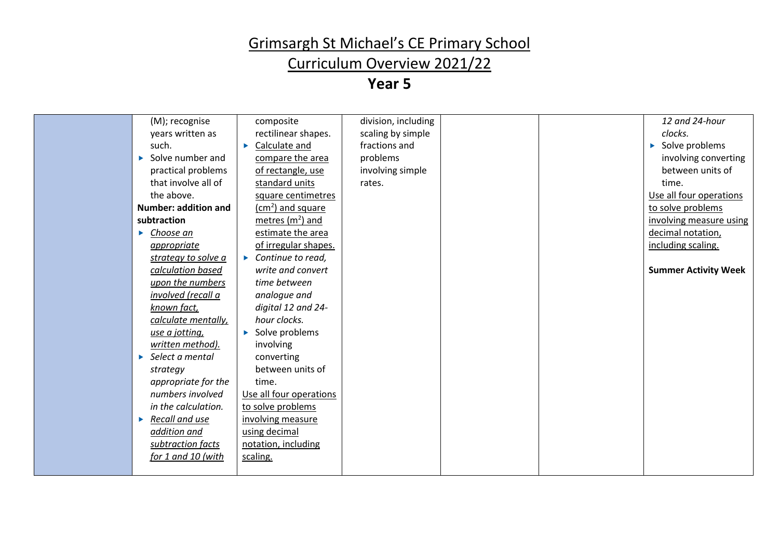### Curriculum Overview 2021/22

| (M); recognise                    | composite                          | division, including |  | 12 and 24-hour                  |
|-----------------------------------|------------------------------------|---------------------|--|---------------------------------|
| years written as                  | rectilinear shapes.                | scaling by simple   |  | clocks.                         |
| such.                             | Calculate and                      | fractions and       |  | $\triangleright$ Solve problems |
| $\triangleright$ Solve number and | compare the area                   | problems            |  | involving converting            |
| practical problems                | of rectangle, use                  | involving simple    |  | between units of                |
| that involve all of               | standard units                     | rates.              |  | time.                           |
| the above.                        | square centimetres                 |                     |  | Use all four operations         |
| <b>Number: addition and</b>       | (cm <sup>2</sup> ) and square      |                     |  | to solve problems               |
| subtraction                       | metres $(m2)$ and                  |                     |  | involving measure using         |
| Choose an<br>Þ.                   | estimate the area                  |                     |  | decimal notation,               |
| appropriate                       | of irregular shapes.               |                     |  | including scaling.              |
| strategy to solve a               | $\triangleright$ Continue to read, |                     |  |                                 |
| calculation based                 | write and convert                  |                     |  | <b>Summer Activity Week</b>     |
| upon the numbers                  | time between                       |                     |  |                                 |
| involved (recall a                | analogue and                       |                     |  |                                 |
| known fact,                       | digital 12 and 24-                 |                     |  |                                 |
| calculate mentally,               | hour clocks.                       |                     |  |                                 |
| use a jotting,                    | $\triangleright$ Solve problems    |                     |  |                                 |
| written method).                  | involving                          |                     |  |                                 |
| $\triangleright$ Select a mental  | converting                         |                     |  |                                 |
| strategy                          | between units of                   |                     |  |                                 |
| appropriate for the               | time.                              |                     |  |                                 |
| numbers involved                  | Use all four operations            |                     |  |                                 |
| in the calculation.               | to solve problems                  |                     |  |                                 |
| $\triangleright$ Recall and use   | involving measure                  |                     |  |                                 |
| addition and                      | using decimal                      |                     |  |                                 |
| subtraction facts                 | notation, including                |                     |  |                                 |
| for 1 and 10 (with                | scaling.                           |                     |  |                                 |
|                                   |                                    |                     |  |                                 |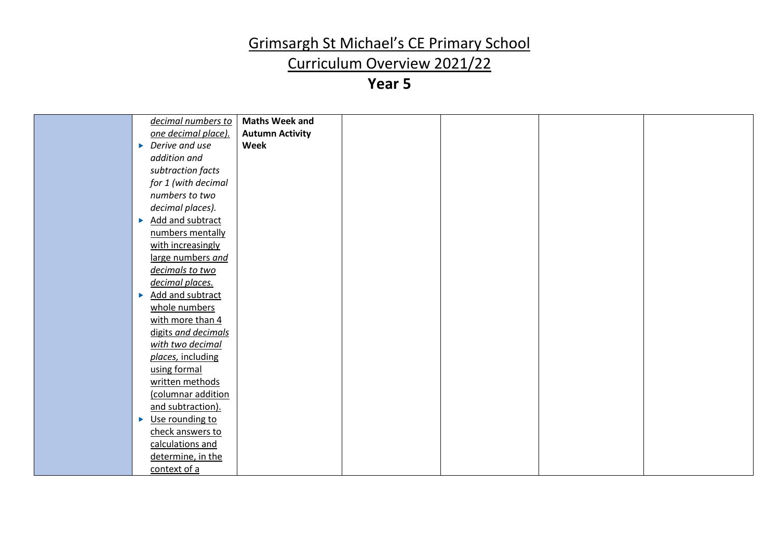### Curriculum Overview 2021/22

| decimal numbers to                               | <b>Maths Week and</b>  |  |  |
|--------------------------------------------------|------------------------|--|--|
| one decimal place).                              | <b>Autumn Activity</b> |  |  |
| $\triangleright$ Derive and use                  | Week                   |  |  |
| addition and                                     |                        |  |  |
| subtraction facts                                |                        |  |  |
| for 1 (with decimal                              |                        |  |  |
| numbers to two                                   |                        |  |  |
|                                                  |                        |  |  |
| decimal places).                                 |                        |  |  |
| Add and subtract<br>$\blacktriangleright$        |                        |  |  |
| numbers mentally                                 |                        |  |  |
| with increasingly                                |                        |  |  |
| large numbers and                                |                        |  |  |
| decimals to two                                  |                        |  |  |
| decimal places.                                  |                        |  |  |
| <b>Add and subtract</b><br>$\blacktriangleright$ |                        |  |  |
| whole numbers                                    |                        |  |  |
| with more than 4                                 |                        |  |  |
| digits and decimals                              |                        |  |  |
| with two decimal                                 |                        |  |  |
| places, including                                |                        |  |  |
| using formal                                     |                        |  |  |
| written methods                                  |                        |  |  |
| (columnar addition                               |                        |  |  |
| and subtraction).                                |                        |  |  |
| Use rounding to<br>$\blacktriangleright$         |                        |  |  |
| check answers to                                 |                        |  |  |
| calculations and                                 |                        |  |  |
| determine, in the                                |                        |  |  |
| context of a                                     |                        |  |  |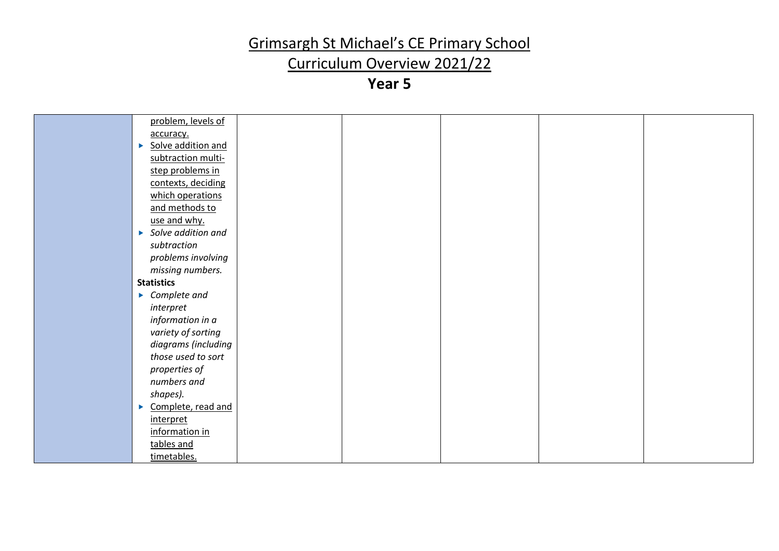### Curriculum Overview 2021/22

| problem, levels of                  |  |  |  |
|-------------------------------------|--|--|--|
| accuracy.                           |  |  |  |
| Solve addition and<br>×             |  |  |  |
| subtraction multi-                  |  |  |  |
| step problems in                    |  |  |  |
| contexts, deciding                  |  |  |  |
| which operations                    |  |  |  |
| and methods to                      |  |  |  |
| use and why.                        |  |  |  |
| $\triangleright$ Solve addition and |  |  |  |
| subtraction                         |  |  |  |
| problems involving                  |  |  |  |
| missing numbers.                    |  |  |  |
| <b>Statistics</b>                   |  |  |  |
| $\triangleright$ Complete and       |  |  |  |
| interpret                           |  |  |  |
| information in a                    |  |  |  |
| variety of sorting                  |  |  |  |
| diagrams (including                 |  |  |  |
| those used to sort                  |  |  |  |
| properties of                       |  |  |  |
| numbers and                         |  |  |  |
| shapes).                            |  |  |  |
| Complete, read and<br>×             |  |  |  |
| interpret                           |  |  |  |
| information in                      |  |  |  |
| tables and                          |  |  |  |
| timetables.                         |  |  |  |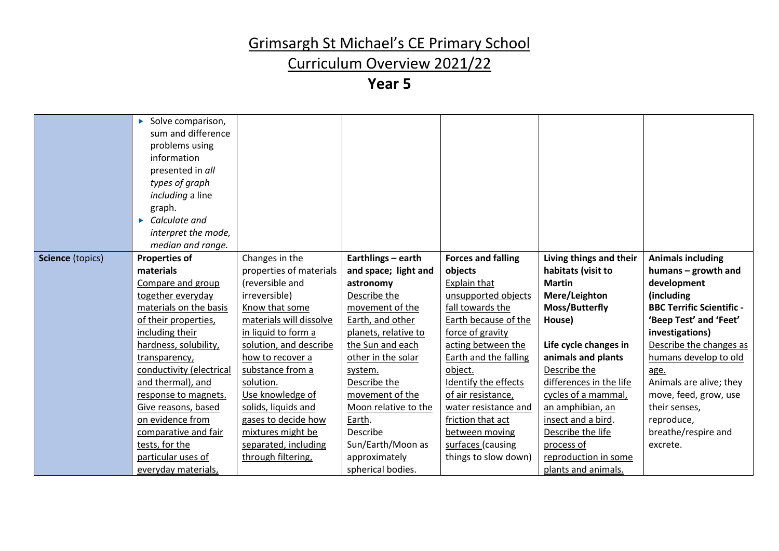### Curriculum Overview 2021/22

|                  | $\triangleright$ Solve comparison, |                         |                      |                              |                         |                                  |
|------------------|------------------------------------|-------------------------|----------------------|------------------------------|-------------------------|----------------------------------|
|                  | sum and difference                 |                         |                      |                              |                         |                                  |
|                  | problems using                     |                         |                      |                              |                         |                                  |
|                  | information                        |                         |                      |                              |                         |                                  |
|                  |                                    |                         |                      |                              |                         |                                  |
|                  | presented in all                   |                         |                      |                              |                         |                                  |
|                  | types of graph                     |                         |                      |                              |                         |                                  |
|                  | <i>including</i> a line            |                         |                      |                              |                         |                                  |
|                  | graph.                             |                         |                      |                              |                         |                                  |
|                  | Calculate and<br>ы                 |                         |                      |                              |                         |                                  |
|                  | interpret the mode,                |                         |                      |                              |                         |                                  |
|                  | median and range.                  |                         |                      |                              |                         |                                  |
| Science (topics) | <b>Properties of</b>               | Changes in the          | Earthlings - earth   | <b>Forces and falling</b>    | Living things and their | <b>Animals including</b>         |
|                  | materials                          | properties of materials | and space; light and | objects                      | habitats (visit to      | humans - growth and              |
|                  | Compare and group                  | (reversible and         | astronomy            | Explain that                 | <b>Martin</b>           | development                      |
|                  | together everyday                  | irreversible)           | Describe the         | unsupported objects          | Mere/Leighton           | (including                       |
|                  | materials on the basis             | Know that some          | movement of the      | fall towards the             | Moss/Butterfly          | <b>BBC Terrific Scientific -</b> |
|                  | of their properties,               | materials will dissolve | Earth, and other     | Earth because of the         | House)                  | 'Beep Test' and 'Feet'           |
|                  | including their                    | in liquid to form a     | planets, relative to | force of gravity             |                         | investigations)                  |
|                  | hardness, solubility,              | solution, and describe  | the Sun and each     | acting between the           | Life cycle changes in   | Describe the changes as          |
|                  | transparency,                      | how to recover a        | other in the solar   | <b>Earth and the falling</b> | animals and plants      | humans develop to old            |
|                  | conductivity (electrical           | substance from a        | system.              | object.                      | Describe the            | age.                             |
|                  | and thermal), and                  | solution.               | Describe the         | Identify the effects         | differences in the life | Animals are alive; they          |
|                  | response to magnets.               | Use knowledge of        | movement of the      | of air resistance,           | cycles of a mammal,     | move, feed, grow, use            |
|                  | Give reasons, based                | solids, liquids and     | Moon relative to the | water resistance and         | an amphibian, an        | their senses,                    |
|                  | on evidence from                   | gases to decide how     | Earth.               | friction that act            | insect and a bird.      | reproduce,                       |
|                  | comparative and fair               | mixtures might be       | Describe             | between moving               | Describe the life       | breathe/respire and              |
|                  | tests, for the                     | separated, including    | Sun/Earth/Moon as    | surfaces (causing            | process of              | excrete.                         |
|                  | particular uses of                 | through filtering,      | approximately        | things to slow down)         | reproduction in some    |                                  |
|                  | everyday materials,                |                         | spherical bodies.    |                              | plants and animals.     |                                  |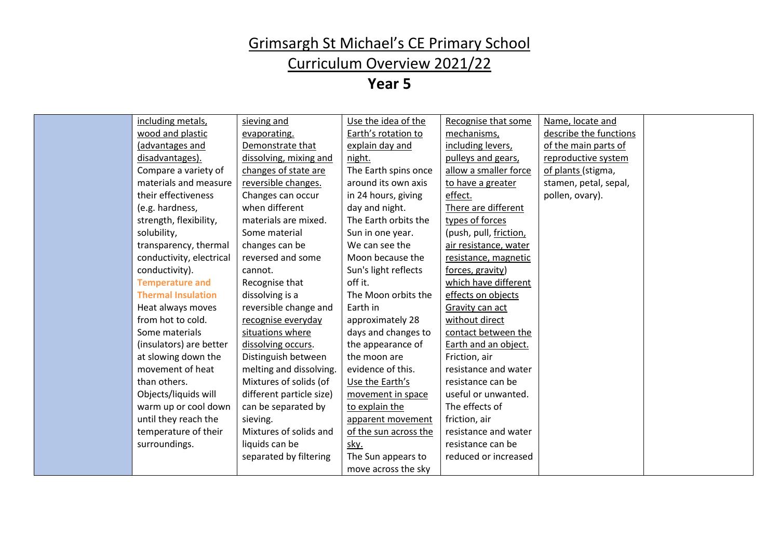### Curriculum Overview 2021/22

**Year 5**

| including metals,<br>Use the idea of the<br>Recognise that some<br>Name, locate and<br>sieving and<br>wood and plastic<br>Earth's rotation to<br>describe the functions<br>mechanisms,<br>evaporating.<br>explain day and<br>including levers,<br>(advantages and<br>Demonstrate that<br>of the main parts of<br>disadvantages).<br>dissolving, mixing and<br>night.<br>pulleys and gears,<br>reproductive system<br>Compare a variety of<br>The Earth spins once<br>allow a smaller force<br>changes of state are<br>of plants (stigma,<br>materials and measure<br>around its own axis<br>reversible changes.<br>to have a greater<br>stamen, petal, sepal,<br>their effectiveness<br>effect.<br>in 24 hours, giving<br>pollen, ovary).<br>Changes can occur<br>(e.g. hardness,<br>when different<br>day and night.<br>There are different |  |
|----------------------------------------------------------------------------------------------------------------------------------------------------------------------------------------------------------------------------------------------------------------------------------------------------------------------------------------------------------------------------------------------------------------------------------------------------------------------------------------------------------------------------------------------------------------------------------------------------------------------------------------------------------------------------------------------------------------------------------------------------------------------------------------------------------------------------------------------|--|
|                                                                                                                                                                                                                                                                                                                                                                                                                                                                                                                                                                                                                                                                                                                                                                                                                                              |  |
|                                                                                                                                                                                                                                                                                                                                                                                                                                                                                                                                                                                                                                                                                                                                                                                                                                              |  |
|                                                                                                                                                                                                                                                                                                                                                                                                                                                                                                                                                                                                                                                                                                                                                                                                                                              |  |
|                                                                                                                                                                                                                                                                                                                                                                                                                                                                                                                                                                                                                                                                                                                                                                                                                                              |  |
|                                                                                                                                                                                                                                                                                                                                                                                                                                                                                                                                                                                                                                                                                                                                                                                                                                              |  |
|                                                                                                                                                                                                                                                                                                                                                                                                                                                                                                                                                                                                                                                                                                                                                                                                                                              |  |
|                                                                                                                                                                                                                                                                                                                                                                                                                                                                                                                                                                                                                                                                                                                                                                                                                                              |  |
|                                                                                                                                                                                                                                                                                                                                                                                                                                                                                                                                                                                                                                                                                                                                                                                                                                              |  |
| strength, flexibility,<br>The Earth orbits the<br>types of forces<br>materials are mixed.                                                                                                                                                                                                                                                                                                                                                                                                                                                                                                                                                                                                                                                                                                                                                    |  |
| solubility,<br>Some material<br>Sun in one year.<br>(push, pull, friction,                                                                                                                                                                                                                                                                                                                                                                                                                                                                                                                                                                                                                                                                                                                                                                   |  |
| changes can be<br>We can see the<br>transparency, thermal<br>air resistance, water                                                                                                                                                                                                                                                                                                                                                                                                                                                                                                                                                                                                                                                                                                                                                           |  |
| conductivity, electrical<br>reversed and some<br>Moon because the<br>resistance, magnetic                                                                                                                                                                                                                                                                                                                                                                                                                                                                                                                                                                                                                                                                                                                                                    |  |
| conductivity).<br>Sun's light reflects<br>cannot.<br>forces, gravity)                                                                                                                                                                                                                                                                                                                                                                                                                                                                                                                                                                                                                                                                                                                                                                        |  |
| off it.<br><b>Temperature and</b><br>which have different<br>Recognise that                                                                                                                                                                                                                                                                                                                                                                                                                                                                                                                                                                                                                                                                                                                                                                  |  |
| <b>Thermal Insulation</b><br>dissolving is a<br>The Moon orbits the<br>effects on objects                                                                                                                                                                                                                                                                                                                                                                                                                                                                                                                                                                                                                                                                                                                                                    |  |
| reversible change and<br>Heat always moves<br>Earth in<br>Gravity can act                                                                                                                                                                                                                                                                                                                                                                                                                                                                                                                                                                                                                                                                                                                                                                    |  |
| from hot to cold.<br>without direct<br>recognise everyday<br>approximately 28                                                                                                                                                                                                                                                                                                                                                                                                                                                                                                                                                                                                                                                                                                                                                                |  |
| days and changes to<br>Some materials<br>situations where<br>contact between the                                                                                                                                                                                                                                                                                                                                                                                                                                                                                                                                                                                                                                                                                                                                                             |  |
| the appearance of<br>Earth and an object.<br>(insulators) are better<br>dissolving occurs.                                                                                                                                                                                                                                                                                                                                                                                                                                                                                                                                                                                                                                                                                                                                                   |  |
| at slowing down the<br>Distinguish between<br>the moon are<br>Friction, air                                                                                                                                                                                                                                                                                                                                                                                                                                                                                                                                                                                                                                                                                                                                                                  |  |
| movement of heat<br>resistance and water<br>melting and dissolving.<br>evidence of this.                                                                                                                                                                                                                                                                                                                                                                                                                                                                                                                                                                                                                                                                                                                                                     |  |
| than others.<br>Mixtures of solids (of<br>Use the Earth's<br>resistance can be                                                                                                                                                                                                                                                                                                                                                                                                                                                                                                                                                                                                                                                                                                                                                               |  |
| different particle size)<br>useful or unwanted.<br>Objects/liquids will<br>movement in space                                                                                                                                                                                                                                                                                                                                                                                                                                                                                                                                                                                                                                                                                                                                                 |  |
| The effects of<br>can be separated by<br>to explain the<br>warm up or cool down                                                                                                                                                                                                                                                                                                                                                                                                                                                                                                                                                                                                                                                                                                                                                              |  |
| until they reach the<br>friction, air<br>sieving.<br>apparent movement                                                                                                                                                                                                                                                                                                                                                                                                                                                                                                                                                                                                                                                                                                                                                                       |  |
| temperature of their<br>Mixtures of solids and<br>of the sun across the<br>resistance and water                                                                                                                                                                                                                                                                                                                                                                                                                                                                                                                                                                                                                                                                                                                                              |  |
| liquids can be<br>resistance can be<br>surroundings.<br>sky.                                                                                                                                                                                                                                                                                                                                                                                                                                                                                                                                                                                                                                                                                                                                                                                 |  |
| separated by filtering<br>reduced or increased<br>The Sun appears to                                                                                                                                                                                                                                                                                                                                                                                                                                                                                                                                                                                                                                                                                                                                                                         |  |
| move across the sky                                                                                                                                                                                                                                                                                                                                                                                                                                                                                                                                                                                                                                                                                                                                                                                                                          |  |

L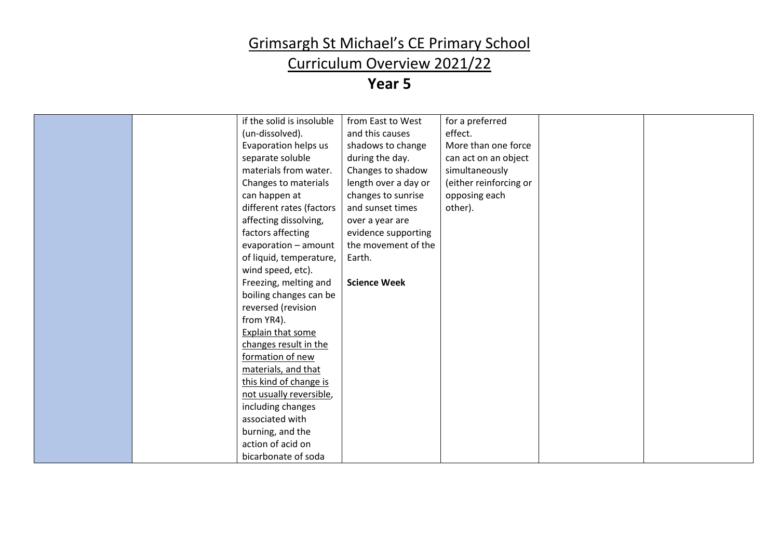### Curriculum Overview 2021/22

| if the solid is insoluble<br>from East to West<br>for a preferred      |  |
|------------------------------------------------------------------------|--|
|                                                                        |  |
| and this causes<br>(un-dissolved).<br>effect.                          |  |
| More than one force<br>Evaporation helps us<br>shadows to change       |  |
| during the day.<br>separate soluble<br>can act on an object            |  |
| materials from water.<br>simultaneously<br>Changes to shadow           |  |
| length over a day or<br>(either reinforcing or<br>Changes to materials |  |
| changes to sunrise<br>opposing each<br>can happen at                   |  |
| other).<br>different rates (factors<br>and sunset times                |  |
| affecting dissolving,<br>over a year are                               |  |
| factors affecting<br>evidence supporting                               |  |
| evaporation - amount<br>the movement of the                            |  |
| of liquid, temperature,<br>Earth.                                      |  |
| wind speed, etc).                                                      |  |
| Freezing, melting and<br><b>Science Week</b>                           |  |
| boiling changes can be                                                 |  |
| reversed (revision                                                     |  |
| from YR4).                                                             |  |
| Explain that some                                                      |  |
| changes result in the                                                  |  |
| formation of new                                                       |  |
| materials, and that                                                    |  |
| this kind of change is                                                 |  |
| not usually reversible,                                                |  |
| including changes                                                      |  |
| associated with                                                        |  |
| burning, and the                                                       |  |
| action of acid on                                                      |  |
| bicarbonate of soda                                                    |  |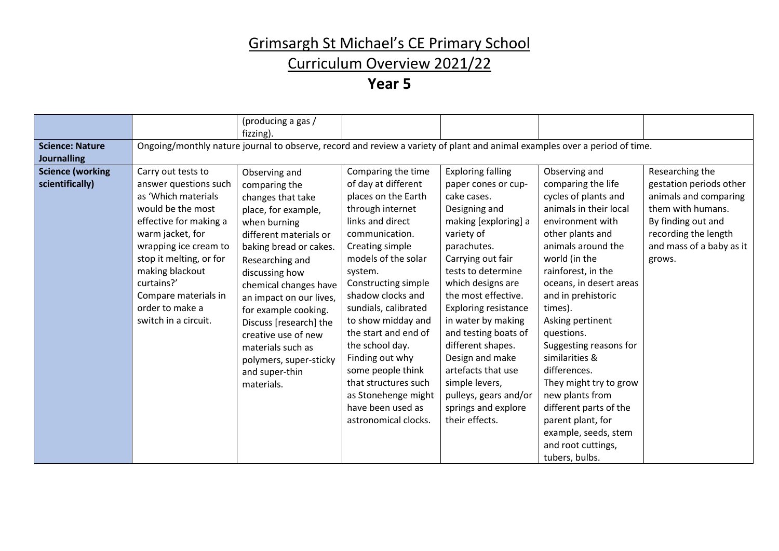### Curriculum Overview 2021/22

|                         |                         | (producing a gas /      |                      |                             |                                                                                                                            |                          |
|-------------------------|-------------------------|-------------------------|----------------------|-----------------------------|----------------------------------------------------------------------------------------------------------------------------|--------------------------|
|                         |                         | fizzing).               |                      |                             |                                                                                                                            |                          |
| <b>Science: Nature</b>  |                         |                         |                      |                             | Ongoing/monthly nature journal to observe, record and review a variety of plant and animal examples over a period of time. |                          |
| <b>Journalling</b>      |                         |                         |                      |                             |                                                                                                                            |                          |
| <b>Science (working</b> | Carry out tests to      | Observing and           | Comparing the time   | <b>Exploring falling</b>    | Observing and                                                                                                              | Researching the          |
| scientifically)         | answer questions such   | comparing the           | of day at different  | paper cones or cup-         | comparing the life                                                                                                         | gestation periods other  |
|                         | as 'Which materials     | changes that take       | places on the Earth  | cake cases.                 | cycles of plants and                                                                                                       | animals and comparing    |
|                         | would be the most       | place, for example,     | through internet     | Designing and               | animals in their local                                                                                                     | them with humans.        |
|                         | effective for making a  | when burning            | links and direct     | making [exploring] a        | environment with                                                                                                           | By finding out and       |
|                         | warm jacket, for        | different materials or  | communication.       | variety of                  | other plants and                                                                                                           | recording the length     |
|                         | wrapping ice cream to   | baking bread or cakes.  | Creating simple      | parachutes.                 | animals around the                                                                                                         | and mass of a baby as it |
|                         | stop it melting, or for | Researching and         | models of the solar  | Carrying out fair           | world (in the                                                                                                              | grows.                   |
|                         | making blackout         | discussing how          | system.              | tests to determine          | rainforest, in the                                                                                                         |                          |
|                         | curtains?'              | chemical changes have   | Constructing simple  | which designs are           | oceans, in desert areas                                                                                                    |                          |
|                         | Compare materials in    | an impact on our lives, | shadow clocks and    | the most effective.         | and in prehistoric                                                                                                         |                          |
|                         | order to make a         | for example cooking.    | sundials, calibrated | <b>Exploring resistance</b> | times).                                                                                                                    |                          |
|                         | switch in a circuit.    | Discuss [research] the  | to show midday and   | in water by making          | Asking pertinent                                                                                                           |                          |
|                         |                         | creative use of new     | the start and end of | and testing boats of        | questions.                                                                                                                 |                          |
|                         |                         | materials such as       | the school day.      | different shapes.           | Suggesting reasons for                                                                                                     |                          |
|                         |                         | polymers, super-sticky  | Finding out why      | Design and make             | similarities &                                                                                                             |                          |
|                         |                         | and super-thin          | some people think    | artefacts that use          | differences.                                                                                                               |                          |
|                         |                         | materials.              | that structures such | simple levers,              | They might try to grow                                                                                                     |                          |
|                         |                         |                         | as Stonehenge might  | pulleys, gears and/or       | new plants from                                                                                                            |                          |
|                         |                         |                         | have been used as    | springs and explore         | different parts of the                                                                                                     |                          |
|                         |                         |                         | astronomical clocks. | their effects.              | parent plant, for                                                                                                          |                          |
|                         |                         |                         |                      |                             | example, seeds, stem                                                                                                       |                          |
|                         |                         |                         |                      |                             | and root cuttings,                                                                                                         |                          |
|                         |                         |                         |                      |                             | tubers, bulbs.                                                                                                             |                          |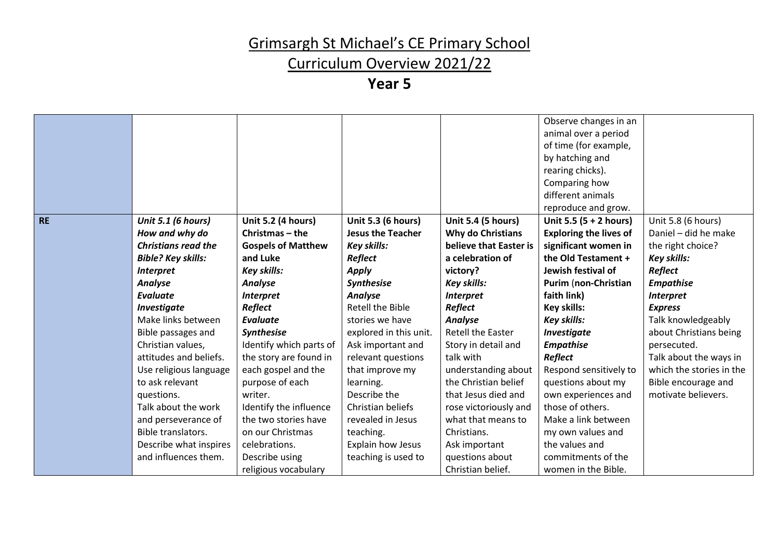### Curriculum Overview 2021/22

|           |                            |                           |                          |                           | Observe changes in an         |                          |
|-----------|----------------------------|---------------------------|--------------------------|---------------------------|-------------------------------|--------------------------|
|           |                            |                           |                          |                           | animal over a period          |                          |
|           |                            |                           |                          |                           | of time (for example,         |                          |
|           |                            |                           |                          |                           | by hatching and               |                          |
|           |                            |                           |                          |                           | rearing chicks).              |                          |
|           |                            |                           |                          |                           | Comparing how                 |                          |
|           |                            |                           |                          |                           | different animals             |                          |
|           |                            |                           |                          |                           | reproduce and grow.           |                          |
| <b>RE</b> | Unit 5.1 (6 hours)         | <b>Unit 5.2 (4 hours)</b> | Unit 5.3 (6 hours)       | <b>Unit 5.4 (5 hours)</b> | Unit 5.5 $(5 + 2$ hours)      | Unit 5.8 (6 hours)       |
|           | How and why do             | Christmas – the           | <b>Jesus the Teacher</b> | Why do Christians         | <b>Exploring the lives of</b> | Daniel - did he make     |
|           | <b>Christians read the</b> | <b>Gospels of Matthew</b> | <b>Key skills:</b>       | believe that Easter is    | significant women in          | the right choice?        |
|           | <b>Bible? Key skills:</b>  | and Luke                  | Reflect                  | a celebration of          | the Old Testament +           | <b>Key skills:</b>       |
|           | <b>Interpret</b>           | <b>Key skills:</b>        | <b>Apply</b>             | victory?                  | Jewish festival of            | Reflect                  |
|           | <b>Analyse</b>             | <b>Analyse</b>            | Synthesise               | <b>Key skills:</b>        | <b>Purim (non-Christian</b>   | <b>Empathise</b>         |
|           | Evaluate                   | <b>Interpret</b>          | <b>Analyse</b>           | <b>Interpret</b>          | faith link)                   | <b>Interpret</b>         |
|           | Investigate                | Reflect                   | Retell the Bible         | Reflect                   | <b>Key skills:</b>            | <b>Express</b>           |
|           | Make links between         | Evaluate                  | stories we have          | <b>Analyse</b>            | <b>Key skills:</b>            | Talk knowledgeably       |
|           | Bible passages and         | <b>Synthesise</b>         | explored in this unit.   | <b>Retell the Easter</b>  | Investigate                   | about Christians being   |
|           | Christian values,          | Identify which parts of   | Ask important and        | Story in detail and       | <b>Empathise</b>              | persecuted.              |
|           | attitudes and beliefs.     | the story are found in    | relevant questions       | talk with                 | Reflect                       | Talk about the ways in   |
|           | Use religious language     | each gospel and the       | that improve my          | understanding about       | Respond sensitively to        | which the stories in the |
|           | to ask relevant            | purpose of each           | learning.                | the Christian belief      | questions about my            | Bible encourage and      |
|           | questions.                 | writer.                   | Describe the             | that Jesus died and       | own experiences and           | motivate believers.      |
|           | Talk about the work        | Identify the influence    | Christian beliefs        | rose victoriously and     | those of others.              |                          |
|           | and perseverance of        | the two stories have      | revealed in Jesus        | what that means to        | Make a link between           |                          |
|           | Bible translators.         | on our Christmas          | teaching.                | Christians.               | my own values and             |                          |
|           | Describe what inspires     | celebrations.             | Explain how Jesus        | Ask important             | the values and                |                          |
|           | and influences them.       | Describe using            | teaching is used to      | questions about           | commitments of the            |                          |
|           |                            | religious vocabulary      |                          | Christian belief.         | women in the Bible.           |                          |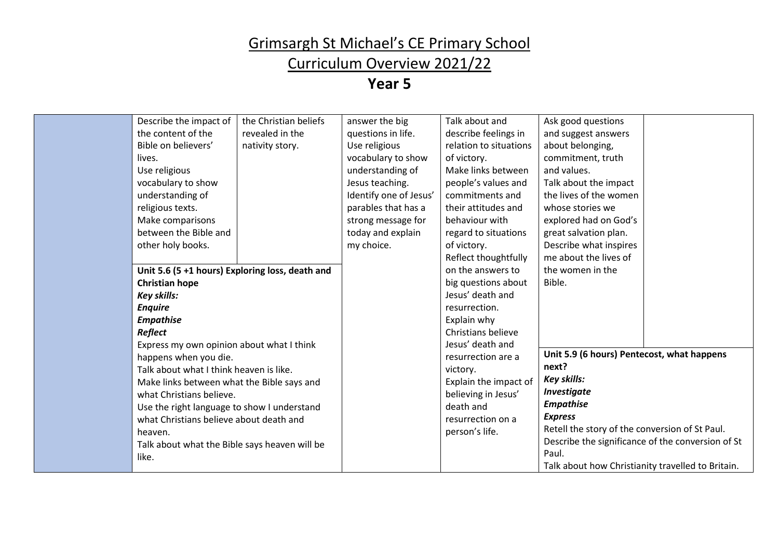### Curriculum Overview 2021/22

| Describe the impact of                          | the Christian beliefs | answer the big         | Talk about and         | Ask good questions                                |  |
|-------------------------------------------------|-----------------------|------------------------|------------------------|---------------------------------------------------|--|
| the content of the                              | revealed in the       | questions in life.     | describe feelings in   | and suggest answers                               |  |
| Bible on believers'                             | nativity story.       | Use religious          | relation to situations | about belonging,                                  |  |
| lives.                                          |                       | vocabulary to show     | of victory.            | commitment, truth                                 |  |
| Use religious                                   |                       | understanding of       | Make links between     | and values.                                       |  |
| vocabulary to show                              |                       | Jesus teaching.        | people's values and    | Talk about the impact                             |  |
| understanding of                                |                       | Identify one of Jesus' | commitments and        | the lives of the women                            |  |
| religious texts.                                |                       | parables that has a    | their attitudes and    | whose stories we                                  |  |
| Make comparisons                                |                       | strong message for     | behaviour with         | explored had on God's                             |  |
| between the Bible and                           |                       | today and explain      | regard to situations   | great salvation plan.                             |  |
| other holy books.                               |                       | my choice.             | of victory.            | Describe what inspires                            |  |
|                                                 |                       |                        | Reflect thoughtfully   | me about the lives of                             |  |
| Unit 5.6 (5 +1 hours) Exploring loss, death and |                       |                        | on the answers to      | the women in the                                  |  |
| <b>Christian hope</b>                           |                       |                        | big questions about    | Bible.                                            |  |
| <b>Key skills:</b>                              |                       |                        | Jesus' death and       |                                                   |  |
| <b>Enquire</b>                                  |                       |                        | resurrection.          |                                                   |  |
| <b>Empathise</b>                                |                       |                        | Explain why            |                                                   |  |
| Reflect                                         |                       |                        | Christians believe     |                                                   |  |
| Express my own opinion about what I think       |                       |                        | Jesus' death and       |                                                   |  |
| happens when you die.                           |                       |                        | resurrection are a     | Unit 5.9 (6 hours) Pentecost, what happens        |  |
| Talk about what I think heaven is like.         |                       |                        | victory.               | next?                                             |  |
| Make links between what the Bible says and      |                       |                        | Explain the impact of  | <b>Key skills:</b>                                |  |
| what Christians believe.                        |                       |                        | believing in Jesus'    | <b>Investigate</b>                                |  |
| Use the right language to show I understand     |                       |                        | death and              | <b>Empathise</b>                                  |  |
| what Christians believe about death and         |                       |                        | resurrection on a      | <b>Express</b>                                    |  |
| heaven.                                         |                       |                        | person's life.         | Retell the story of the conversion of St Paul.    |  |
| Talk about what the Bible says heaven will be   |                       |                        |                        | Describe the significance of the conversion of St |  |
| like.                                           |                       |                        |                        | Paul.                                             |  |
|                                                 |                       |                        |                        | Talk about how Christianity travelled to Britain. |  |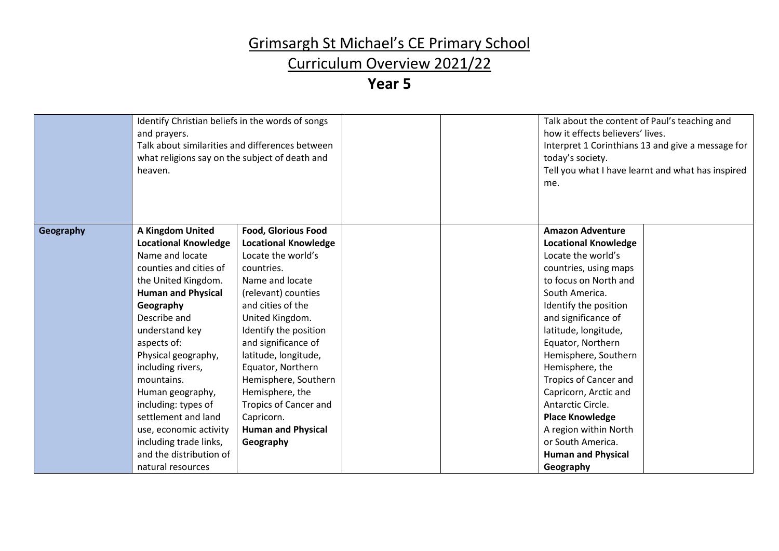### Curriculum Overview 2021/22

|           | Identify Christian beliefs in the words of songs<br>and prayers.<br>Talk about similarities and differences between<br>what religions say on the subject of death and<br>heaven. |                              | me. | Talk about the content of Paul's teaching and<br>how it effects believers' lives.<br>Interpret 1 Corinthians 13 and give a message for<br>today's society.<br>Tell you what I have learnt and what has inspired |
|-----------|----------------------------------------------------------------------------------------------------------------------------------------------------------------------------------|------------------------------|-----|-----------------------------------------------------------------------------------------------------------------------------------------------------------------------------------------------------------------|
| Geography | A Kingdom United                                                                                                                                                                 | <b>Food, Glorious Food</b>   |     | <b>Amazon Adventure</b>                                                                                                                                                                                         |
|           | <b>Locational Knowledge</b>                                                                                                                                                      | <b>Locational Knowledge</b>  |     | <b>Locational Knowledge</b>                                                                                                                                                                                     |
|           | Name and locate                                                                                                                                                                  | Locate the world's           |     | Locate the world's                                                                                                                                                                                              |
|           | counties and cities of                                                                                                                                                           | countries.                   |     | countries, using maps                                                                                                                                                                                           |
|           | the United Kingdom.                                                                                                                                                              | Name and locate              |     | to focus on North and                                                                                                                                                                                           |
|           | <b>Human and Physical</b>                                                                                                                                                        | (relevant) counties          |     | South America.                                                                                                                                                                                                  |
|           | Geography                                                                                                                                                                        | and cities of the            |     | Identify the position                                                                                                                                                                                           |
|           | Describe and                                                                                                                                                                     | United Kingdom.              |     | and significance of                                                                                                                                                                                             |
|           | understand key                                                                                                                                                                   | Identify the position        |     | latitude, longitude,                                                                                                                                                                                            |
|           | aspects of:                                                                                                                                                                      | and significance of          |     | Equator, Northern                                                                                                                                                                                               |
|           | Physical geography,                                                                                                                                                              | latitude, longitude,         |     | Hemisphere, Southern                                                                                                                                                                                            |
|           | including rivers,                                                                                                                                                                | Equator, Northern            |     | Hemisphere, the                                                                                                                                                                                                 |
|           | mountains.                                                                                                                                                                       | Hemisphere, Southern         |     | <b>Tropics of Cancer and</b>                                                                                                                                                                                    |
|           | Human geography,                                                                                                                                                                 | Hemisphere, the              |     | Capricorn, Arctic and                                                                                                                                                                                           |
|           | including: types of                                                                                                                                                              | <b>Tropics of Cancer and</b> |     | Antarctic Circle.                                                                                                                                                                                               |
|           | settlement and land                                                                                                                                                              | Capricorn.                   |     | <b>Place Knowledge</b>                                                                                                                                                                                          |
|           | use, economic activity                                                                                                                                                           | <b>Human and Physical</b>    |     | A region within North                                                                                                                                                                                           |
|           | including trade links,                                                                                                                                                           | Geography                    |     | or South America.                                                                                                                                                                                               |
|           | and the distribution of                                                                                                                                                          |                              |     | <b>Human and Physical</b>                                                                                                                                                                                       |
|           | natural resources                                                                                                                                                                |                              |     | Geography                                                                                                                                                                                                       |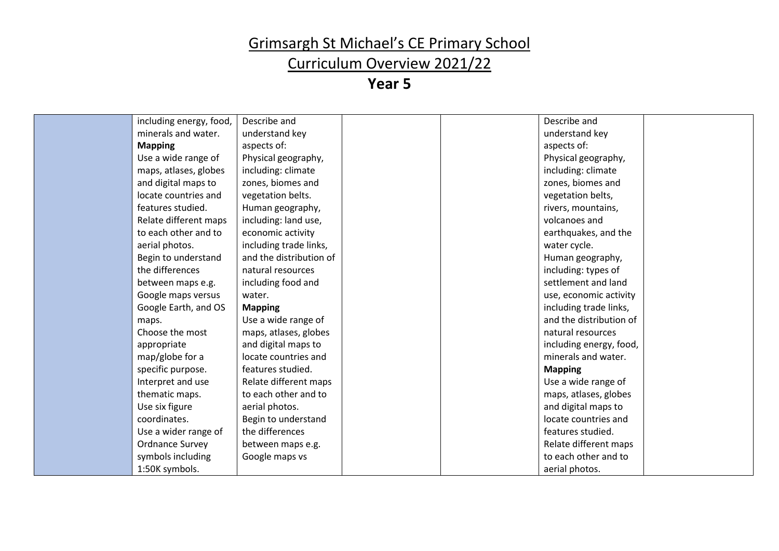### Curriculum Overview 2021/22

| including energy, food, | Describe and            |  | Describe and            |
|-------------------------|-------------------------|--|-------------------------|
| minerals and water.     | understand key          |  | understand key          |
| <b>Mapping</b>          | aspects of:             |  | aspects of:             |
| Use a wide range of     | Physical geography,     |  | Physical geography,     |
| maps, atlases, globes   | including: climate      |  | including: climate      |
| and digital maps to     | zones, biomes and       |  | zones, biomes and       |
| locate countries and    | vegetation belts.       |  | vegetation belts,       |
| features studied.       | Human geography,        |  | rivers, mountains,      |
| Relate different maps   | including: land use,    |  | volcanoes and           |
| to each other and to    | economic activity       |  | earthquakes, and the    |
| aerial photos.          | including trade links,  |  | water cycle.            |
| Begin to understand     | and the distribution of |  | Human geography,        |
| the differences         | natural resources       |  | including: types of     |
| between maps e.g.       | including food and      |  | settlement and land     |
| Google maps versus      | water.                  |  | use, economic activity  |
| Google Earth, and OS    | <b>Mapping</b>          |  | including trade links,  |
| maps.                   | Use a wide range of     |  | and the distribution of |
| Choose the most         | maps, atlases, globes   |  | natural resources       |
| appropriate             | and digital maps to     |  | including energy, food, |
| map/globe for a         | locate countries and    |  | minerals and water.     |
| specific purpose.       | features studied.       |  | <b>Mapping</b>          |
| Interpret and use       | Relate different maps   |  | Use a wide range of     |
| thematic maps.          | to each other and to    |  | maps, atlases, globes   |
| Use six figure          | aerial photos.          |  | and digital maps to     |
| coordinates.            | Begin to understand     |  | locate countries and    |
| Use a wider range of    | the differences         |  | features studied.       |
| <b>Ordnance Survey</b>  | between maps e.g.       |  | Relate different maps   |
| symbols including       | Google maps vs          |  | to each other and to    |
| 1:50K symbols.          |                         |  | aerial photos.          |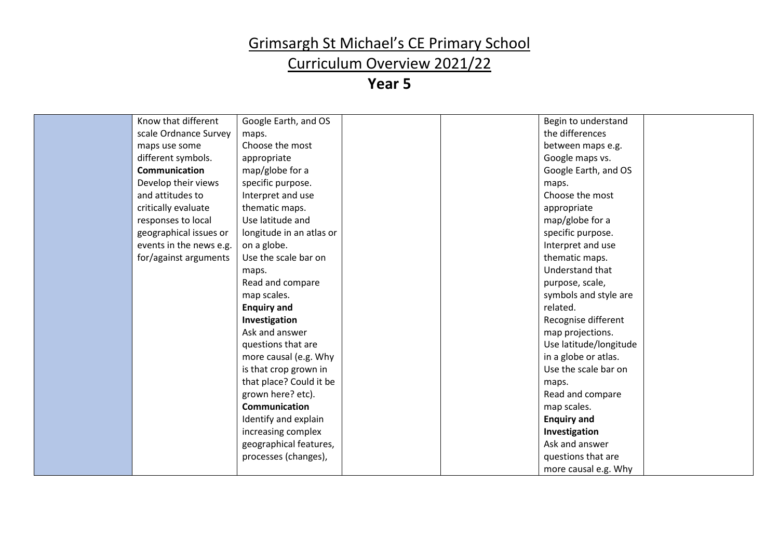### Curriculum Overview 2021/22

| Know that different     | Google Earth, and OS     |  | Begin to understand    |
|-------------------------|--------------------------|--|------------------------|
| scale Ordnance Survey   | maps.                    |  | the differences        |
| maps use some           | Choose the most          |  | between maps e.g.      |
| different symbols.      | appropriate              |  | Google maps vs.        |
| <b>Communication</b>    | map/globe for a          |  | Google Earth, and OS   |
| Develop their views     | specific purpose.        |  | maps.                  |
| and attitudes to        | Interpret and use        |  | Choose the most        |
| critically evaluate     | thematic maps.           |  | appropriate            |
| responses to local      | Use latitude and         |  | map/globe for a        |
| geographical issues or  | longitude in an atlas or |  | specific purpose.      |
| events in the news e.g. | on a globe.              |  | Interpret and use      |
| for/against arguments   | Use the scale bar on     |  | thematic maps.         |
|                         | maps.                    |  | Understand that        |
|                         | Read and compare         |  | purpose, scale,        |
|                         | map scales.              |  | symbols and style are  |
|                         | <b>Enquiry and</b>       |  | related.               |
|                         | Investigation            |  | Recognise different    |
|                         | Ask and answer           |  | map projections.       |
|                         | questions that are       |  | Use latitude/longitude |
|                         | more causal (e.g. Why    |  | in a globe or atlas.   |
|                         | is that crop grown in    |  | Use the scale bar on   |
|                         | that place? Could it be  |  | maps.                  |
|                         | grown here? etc).        |  | Read and compare       |
|                         | Communication            |  | map scales.            |
|                         | Identify and explain     |  | <b>Enquiry and</b>     |
|                         | increasing complex       |  | Investigation          |
|                         | geographical features,   |  | Ask and answer         |
|                         | processes (changes),     |  | questions that are     |
|                         |                          |  | more causal e.g. Why   |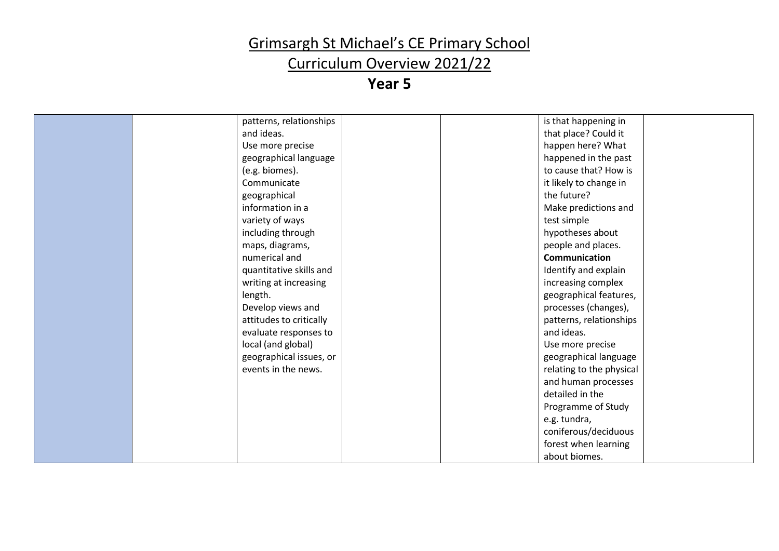### Curriculum Overview 2021/22

| patterns, relationships | is that happening in     |  |
|-------------------------|--------------------------|--|
| and ideas.              | that place? Could it     |  |
| Use more precise        | happen here? What        |  |
| geographical language   | happened in the past     |  |
| (e.g. biomes).          | to cause that? How is    |  |
| Communicate             | it likely to change in   |  |
| geographical            | the future?              |  |
| information in a        | Make predictions and     |  |
| variety of ways         | test simple              |  |
| including through       | hypotheses about         |  |
| maps, diagrams,         | people and places.       |  |
| numerical and           | Communication            |  |
| quantitative skills and | Identify and explain     |  |
| writing at increasing   | increasing complex       |  |
| length.                 | geographical features,   |  |
| Develop views and       | processes (changes),     |  |
| attitudes to critically | patterns, relationships  |  |
| evaluate responses to   | and ideas.               |  |
| local (and global)      | Use more precise         |  |
| geographical issues, or | geographical language    |  |
| events in the news.     | relating to the physical |  |
|                         | and human processes      |  |
|                         | detailed in the          |  |
|                         | Programme of Study       |  |
|                         | e.g. tundra,             |  |
|                         | coniferous/deciduous     |  |
|                         | forest when learning     |  |
|                         | about biomes.            |  |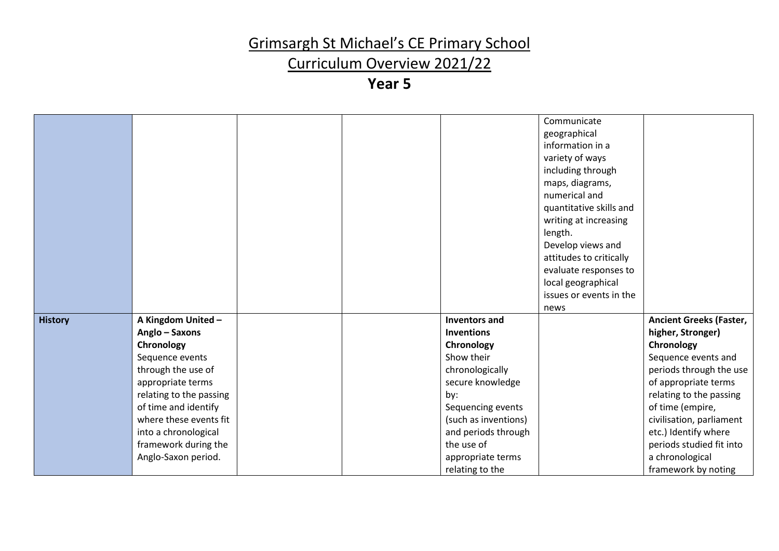### Curriculum Overview 2021/22

|                |                         |  |                      | Communicate<br>geographical<br>information in a<br>variety of ways<br>including through<br>maps, diagrams,<br>numerical and<br>quantitative skills and<br>writing at increasing<br>length.<br>Develop views and<br>attitudes to critically<br>evaluate responses to<br>local geographical<br>issues or events in the<br>news |                                |
|----------------|-------------------------|--|----------------------|------------------------------------------------------------------------------------------------------------------------------------------------------------------------------------------------------------------------------------------------------------------------------------------------------------------------------|--------------------------------|
| <b>History</b> | A Kingdom United -      |  | <b>Inventors and</b> |                                                                                                                                                                                                                                                                                                                              | <b>Ancient Greeks (Faster,</b> |
|                | Anglo - Saxons          |  | <b>Inventions</b>    |                                                                                                                                                                                                                                                                                                                              | higher, Stronger)              |
|                | Chronology              |  | Chronology           |                                                                                                                                                                                                                                                                                                                              | Chronology                     |
|                | Sequence events         |  | Show their           |                                                                                                                                                                                                                                                                                                                              | Sequence events and            |
|                | through the use of      |  | chronologically      |                                                                                                                                                                                                                                                                                                                              | periods through the use        |
|                | appropriate terms       |  | secure knowledge     |                                                                                                                                                                                                                                                                                                                              | of appropriate terms           |
|                | relating to the passing |  | by:                  |                                                                                                                                                                                                                                                                                                                              | relating to the passing        |
|                | of time and identify    |  | Sequencing events    |                                                                                                                                                                                                                                                                                                                              | of time (empire,               |
|                | where these events fit  |  | (such as inventions) |                                                                                                                                                                                                                                                                                                                              | civilisation, parliament       |
|                | into a chronological    |  | and periods through  |                                                                                                                                                                                                                                                                                                                              | etc.) Identify where           |
|                | framework during the    |  | the use of           |                                                                                                                                                                                                                                                                                                                              | periods studied fit into       |
|                | Anglo-Saxon period.     |  | appropriate terms    |                                                                                                                                                                                                                                                                                                                              | a chronological                |
|                |                         |  | relating to the      |                                                                                                                                                                                                                                                                                                                              | framework by noting            |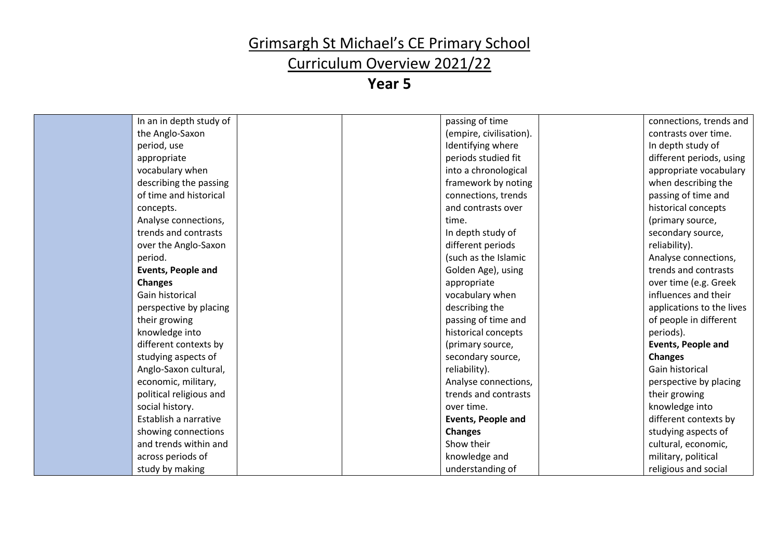### Curriculum Overview 2021/22

| In an in depth study of   | passing of time           | connections, trends and   |
|---------------------------|---------------------------|---------------------------|
| the Anglo-Saxon           | (empire, civilisation).   | contrasts over time.      |
| period, use               | Identifying where         | In depth study of         |
| appropriate               | periods studied fit       | different periods, using  |
| vocabulary when           | into a chronological      | appropriate vocabulary    |
| describing the passing    | framework by noting       | when describing the       |
| of time and historical    | connections, trends       | passing of time and       |
| concepts.                 | and contrasts over        | historical concepts       |
| Analyse connections,      | time.                     | (primary source,          |
| trends and contrasts      | In depth study of         | secondary source,         |
| over the Anglo-Saxon      | different periods         | reliability).             |
| period.                   | (such as the Islamic      | Analyse connections,      |
| <b>Events, People and</b> | Golden Age), using        | trends and contrasts      |
| <b>Changes</b>            | appropriate               | over time (e.g. Greek     |
| Gain historical           | vocabulary when           | influences and their      |
| perspective by placing    | describing the            | applications to the lives |
| their growing             | passing of time and       | of people in different    |
| knowledge into            | historical concepts       | periods).                 |
| different contexts by     | (primary source,          | <b>Events, People and</b> |
| studying aspects of       | secondary source,         | <b>Changes</b>            |
| Anglo-Saxon cultural,     | reliability).             | Gain historical           |
| economic, military,       | Analyse connections,      | perspective by placing    |
| political religious and   | trends and contrasts      | their growing             |
| social history.           | over time.                | knowledge into            |
| Establish a narrative     | <b>Events, People and</b> | different contexts by     |
| showing connections       | <b>Changes</b>            | studying aspects of       |
| and trends within and     | Show their                | cultural, economic,       |
| across periods of         | knowledge and             | military, political       |
| study by making           | understanding of          | religious and social      |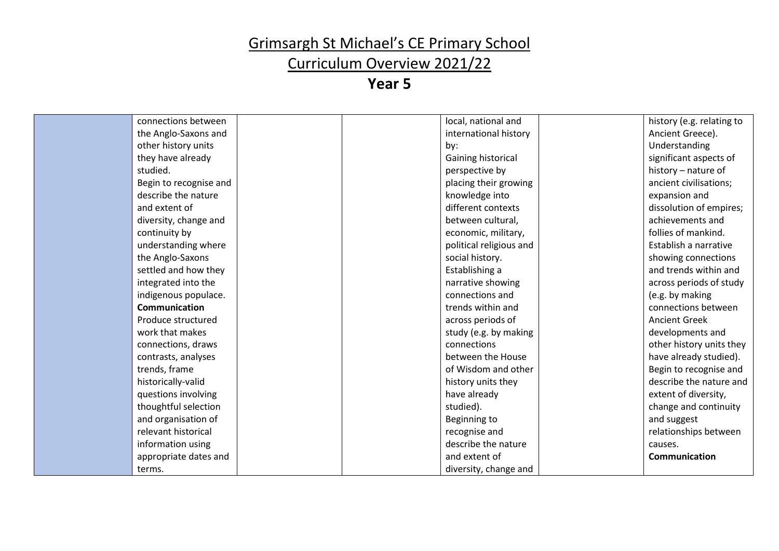# Curriculum Overview 2021/22

| connections between    |  | local, national and     | history (e.g. relating to |
|------------------------|--|-------------------------|---------------------------|
| the Anglo-Saxons and   |  | international history   | Ancient Greece).          |
| other history units    |  | by:                     | Understanding             |
| they have already      |  | Gaining historical      | significant aspects of    |
| studied.               |  | perspective by          | history – nature of       |
| Begin to recognise and |  | placing their growing   | ancient civilisations;    |
| describe the nature    |  | knowledge into          | expansion and             |
| and extent of          |  | different contexts      | dissolution of empires;   |
| diversity, change and  |  | between cultural,       | achievements and          |
| continuity by          |  | economic, military,     | follies of mankind.       |
| understanding where    |  | political religious and | Establish a narrative     |
| the Anglo-Saxons       |  | social history.         | showing connections       |
| settled and how they   |  | Establishing a          | and trends within and     |
| integrated into the    |  | narrative showing       | across periods of study   |
| indigenous populace.   |  | connections and         | (e.g. by making           |
| <b>Communication</b>   |  | trends within and       | connections between       |
| Produce structured     |  | across periods of       | <b>Ancient Greek</b>      |
| work that makes        |  | study (e.g. by making   | developments and          |
| connections, draws     |  | connections             | other history units they  |
| contrasts, analyses    |  | between the House       | have already studied).    |
| trends, frame          |  | of Wisdom and other     | Begin to recognise and    |
| historically-valid     |  | history units they      | describe the nature and   |
| questions involving    |  | have already            | extent of diversity,      |
| thoughtful selection   |  | studied).               | change and continuity     |
| and organisation of    |  | Beginning to            | and suggest               |
| relevant historical    |  | recognise and           | relationships between     |
| information using      |  | describe the nature     | causes.                   |
| appropriate dates and  |  | and extent of           | <b>Communication</b>      |
| terms.                 |  | diversity, change and   |                           |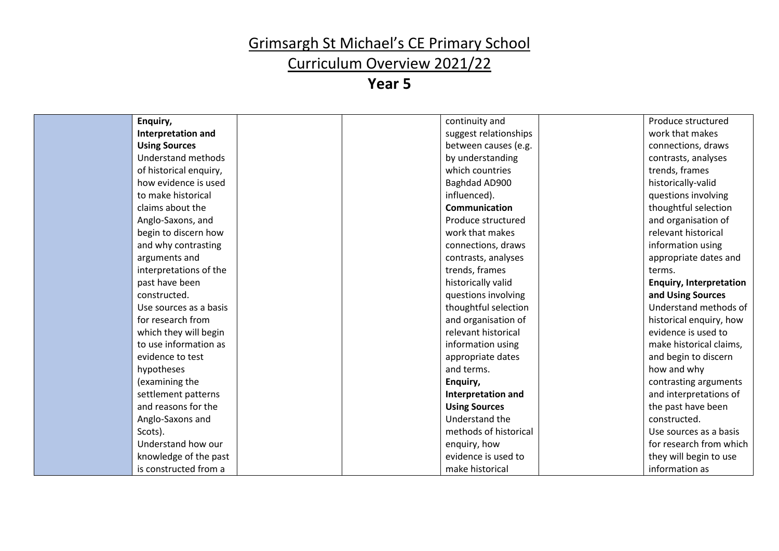# Curriculum Overview 2021/22

| Enquiry,               | continuity and        | Produce structured             |
|------------------------|-----------------------|--------------------------------|
| Interpretation and     | suggest relationships | work that makes                |
| <b>Using Sources</b>   | between causes (e.g.  | connections, draws             |
| Understand methods     | by understanding      | contrasts, analyses            |
| of historical enquiry, | which countries       | trends, frames                 |
| how evidence is used   | Baghdad AD900         | historically-valid             |
| to make historical     | influenced).          | questions involving            |
| claims about the       | Communication         | thoughtful selection           |
| Anglo-Saxons, and      | Produce structured    | and organisation of            |
| begin to discern how   | work that makes       | relevant historical            |
| and why contrasting    | connections, draws    | information using              |
| arguments and          | contrasts, analyses   | appropriate dates and          |
| interpretations of the | trends, frames        | terms.                         |
| past have been         | historically valid    | <b>Enquiry, Interpretation</b> |
| constructed.           | questions involving   | and Using Sources              |
| Use sources as a basis | thoughtful selection  | Understand methods of          |
| for research from      | and organisation of   | historical enquiry, how        |
| which they will begin  | relevant historical   | evidence is used to            |
| to use information as  | information using     | make historical claims,        |
| evidence to test       | appropriate dates     | and begin to discern           |
| hypotheses             | and terms.            | how and why                    |
| (examining the         | Enquiry,              | contrasting arguments          |
| settlement patterns    | Interpretation and    | and interpretations of         |
| and reasons for the    | <b>Using Sources</b>  | the past have been             |
| Anglo-Saxons and       | Understand the        | constructed.                   |
| Scots).                | methods of historical | Use sources as a basis         |
| Understand how our     | enquiry, how          | for research from which        |
| knowledge of the past  | evidence is used to   | they will begin to use         |
| is constructed from a  | make historical       | information as                 |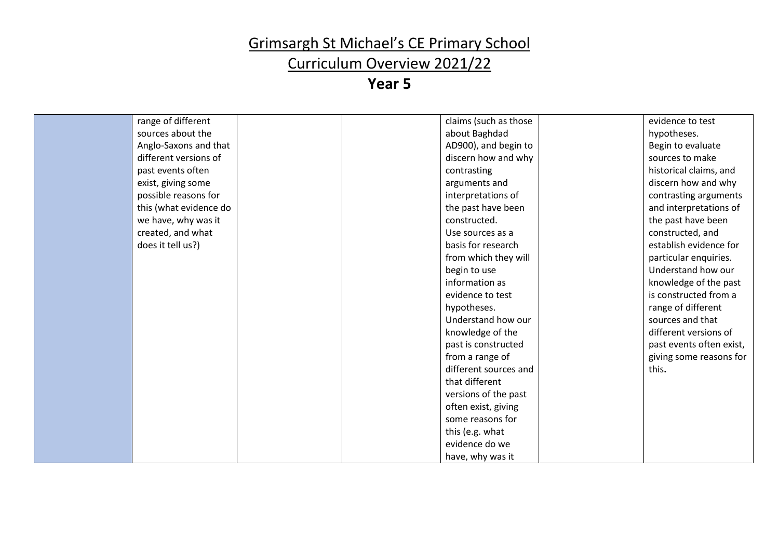### Curriculum Overview 2021/22

| range of different     | claims (such as those | evidence to test         |
|------------------------|-----------------------|--------------------------|
| sources about the      | about Baghdad         | hypotheses.              |
| Anglo-Saxons and that  | AD900), and begin to  | Begin to evaluate        |
| different versions of  | discern how and why   | sources to make          |
| past events often      | contrasting           | historical claims, and   |
| exist, giving some     | arguments and         | discern how and why      |
| possible reasons for   | interpretations of    | contrasting arguments    |
| this (what evidence do | the past have been    | and interpretations of   |
| we have, why was it    | constructed.          | the past have been       |
| created, and what      | Use sources as a      | constructed, and         |
| does it tell us?)      | basis for research    | establish evidence for   |
|                        | from which they will  | particular enquiries.    |
|                        | begin to use          | Understand how our       |
|                        | information as        | knowledge of the past    |
|                        | evidence to test      | is constructed from a    |
|                        | hypotheses.           | range of different       |
|                        | Understand how our    | sources and that         |
|                        | knowledge of the      | different versions of    |
|                        | past is constructed   | past events often exist, |
|                        | from a range of       | giving some reasons for  |
|                        | different sources and | this.                    |
|                        | that different        |                          |
|                        | versions of the past  |                          |
|                        | often exist, giving   |                          |
|                        | some reasons for      |                          |
|                        | this (e.g. what       |                          |
|                        | evidence do we        |                          |
|                        | have, why was it      |                          |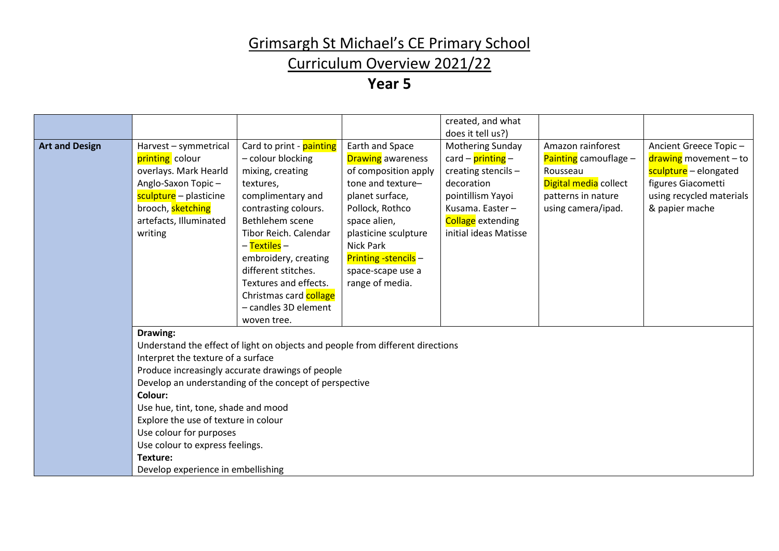### Curriculum Overview 2021/22

|                       |                                                                                                                                                                                                                                                          |                                                                                                                                                                                                                                                                                                                                               |                                                                                                                                                                                                                                                                   | created, and what                                                                                                                                                        |                                                                                                                               |                                                                                                                                             |
|-----------------------|----------------------------------------------------------------------------------------------------------------------------------------------------------------------------------------------------------------------------------------------------------|-----------------------------------------------------------------------------------------------------------------------------------------------------------------------------------------------------------------------------------------------------------------------------------------------------------------------------------------------|-------------------------------------------------------------------------------------------------------------------------------------------------------------------------------------------------------------------------------------------------------------------|--------------------------------------------------------------------------------------------------------------------------------------------------------------------------|-------------------------------------------------------------------------------------------------------------------------------|---------------------------------------------------------------------------------------------------------------------------------------------|
|                       |                                                                                                                                                                                                                                                          |                                                                                                                                                                                                                                                                                                                                               |                                                                                                                                                                                                                                                                   | does it tell us?)                                                                                                                                                        |                                                                                                                               |                                                                                                                                             |
| <b>Art and Design</b> | Harvest - symmetrical<br>printing colour<br>overlays. Mark Hearld<br>Anglo-Saxon Topic-<br>sculpture - plasticine<br>brooch, sketching<br>artefacts, Illuminated<br>writing                                                                              | Card to print - painting<br>- colour blocking<br>mixing, creating<br>textures,<br>complimentary and<br>contrasting colours.<br>Bethlehem scene<br>Tibor Reich. Calendar<br>– <mark>Textiles</mark> –<br>embroidery, creating<br>different stitches.<br>Textures and effects.<br>Christmas card collage<br>- candles 3D element<br>woven tree. | Earth and Space<br><b>Drawing</b> awareness<br>of composition apply<br>tone and texture-<br>planet surface,<br>Pollock, Rothco<br>space alien,<br>plasticine sculpture<br><b>Nick Park</b><br><b>Printing -stencils -</b><br>space-scape use a<br>range of media. | Mothering Sunday<br>card – printing –<br>creating stencils -<br>decoration<br>pointillism Yayoi<br>Kusama. Easter -<br><b>Collage</b> extending<br>initial ideas Matisse | Amazon rainforest<br>Painting camouflage $-$<br>Rousseau<br>Digital media collect<br>patterns in nature<br>using camera/ipad. | Ancient Greece Topic-<br>drawing movement - to<br>sculpture - elongated<br>figures Giacometti<br>using recycled materials<br>& papier mache |
|                       | Drawing:<br>Interpret the texture of a surface<br>Colour:<br>Use hue, tint, tone, shade and mood<br>Explore the use of texture in colour<br>Use colour for purposes<br>Use colour to express feelings.<br>Texture:<br>Develop experience in embellishing | Understand the effect of light on objects and people from different directions<br>Produce increasingly accurate drawings of people<br>Develop an understanding of the concept of perspective                                                                                                                                                  |                                                                                                                                                                                                                                                                   |                                                                                                                                                                          |                                                                                                                               |                                                                                                                                             |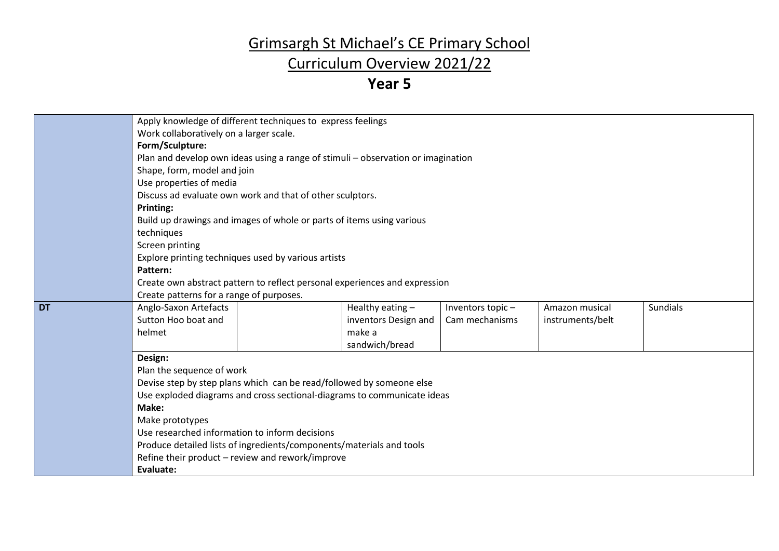### Curriculum Overview 2021/22

|           |                                                                                  | Apply knowledge of different techniques to express feelings                |                      |                  |                  |                 |  |  |  |
|-----------|----------------------------------------------------------------------------------|----------------------------------------------------------------------------|----------------------|------------------|------------------|-----------------|--|--|--|
|           | Work collaboratively on a larger scale.                                          |                                                                            |                      |                  |                  |                 |  |  |  |
|           | Form/Sculpture:                                                                  |                                                                            |                      |                  |                  |                 |  |  |  |
|           | Plan and develop own ideas using a range of stimuli - observation or imagination |                                                                            |                      |                  |                  |                 |  |  |  |
|           | Shape, form, model and join                                                      |                                                                            |                      |                  |                  |                 |  |  |  |
|           | Use properties of media                                                          |                                                                            |                      |                  |                  |                 |  |  |  |
|           | Discuss ad evaluate own work and that of other sculptors.                        |                                                                            |                      |                  |                  |                 |  |  |  |
|           | Printing:                                                                        |                                                                            |                      |                  |                  |                 |  |  |  |
|           |                                                                                  | Build up drawings and images of whole or parts of items using various      |                      |                  |                  |                 |  |  |  |
|           | techniques                                                                       |                                                                            |                      |                  |                  |                 |  |  |  |
|           | Screen printing                                                                  |                                                                            |                      |                  |                  |                 |  |  |  |
|           |                                                                                  | Explore printing techniques used by various artists                        |                      |                  |                  |                 |  |  |  |
|           | Pattern:                                                                         |                                                                            |                      |                  |                  |                 |  |  |  |
|           |                                                                                  | Create own abstract pattern to reflect personal experiences and expression |                      |                  |                  |                 |  |  |  |
|           | Create patterns for a range of purposes.                                         |                                                                            |                      |                  |                  |                 |  |  |  |
| <b>DT</b> | Anglo-Saxon Artefacts                                                            |                                                                            | Healthy eating $-$   | Inventors topic- | Amazon musical   | <b>Sundials</b> |  |  |  |
|           | Sutton Hoo boat and                                                              |                                                                            | inventors Design and | Cam mechanisms   | instruments/belt |                 |  |  |  |
|           | helmet                                                                           |                                                                            | make a               |                  |                  |                 |  |  |  |
|           |                                                                                  |                                                                            | sandwich/bread       |                  |                  |                 |  |  |  |
|           | Design:                                                                          |                                                                            |                      |                  |                  |                 |  |  |  |
|           | Plan the sequence of work                                                        |                                                                            |                      |                  |                  |                 |  |  |  |
|           |                                                                                  | Devise step by step plans which can be read/followed by someone else       |                      |                  |                  |                 |  |  |  |
|           |                                                                                  | Use exploded diagrams and cross sectional-diagrams to communicate ideas    |                      |                  |                  |                 |  |  |  |
|           | Make:                                                                            |                                                                            |                      |                  |                  |                 |  |  |  |
|           | Make prototypes                                                                  |                                                                            |                      |                  |                  |                 |  |  |  |
|           | Use researched information to inform decisions                                   |                                                                            |                      |                  |                  |                 |  |  |  |
|           |                                                                                  | Produce detailed lists of ingredients/components/materials and tools       |                      |                  |                  |                 |  |  |  |
|           |                                                                                  | Refine their product - review and rework/improve                           |                      |                  |                  |                 |  |  |  |
|           | Evaluate:                                                                        |                                                                            |                      |                  |                  |                 |  |  |  |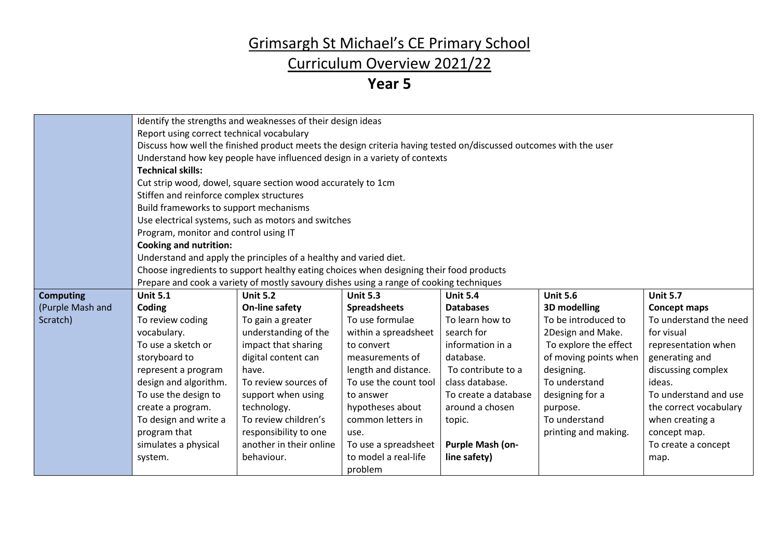### Curriculum Overview 2021/22

|                  |                                                                                                                   | Identify the strengths and weaknesses of their design ideas                             |                       |                      |                       |                        |
|------------------|-------------------------------------------------------------------------------------------------------------------|-----------------------------------------------------------------------------------------|-----------------------|----------------------|-----------------------|------------------------|
|                  | Report using correct technical vocabulary                                                                         |                                                                                         |                       |                      |                       |                        |
|                  | Discuss how well the finished product meets the design criteria having tested on/discussed outcomes with the user |                                                                                         |                       |                      |                       |                        |
|                  | Understand how key people have influenced design in a variety of contexts                                         |                                                                                         |                       |                      |                       |                        |
|                  | <b>Technical skills:</b>                                                                                          |                                                                                         |                       |                      |                       |                        |
|                  |                                                                                                                   |                                                                                         |                       |                      |                       |                        |
|                  | Cut strip wood, dowel, square section wood accurately to 1cm                                                      |                                                                                         |                       |                      |                       |                        |
|                  | Stiffen and reinforce complex structures                                                                          |                                                                                         |                       |                      |                       |                        |
|                  | Build frameworks to support mechanisms                                                                            |                                                                                         |                       |                      |                       |                        |
|                  |                                                                                                                   | Use electrical systems, such as motors and switches                                     |                       |                      |                       |                        |
|                  | Program, monitor and control using IT                                                                             |                                                                                         |                       |                      |                       |                        |
|                  | <b>Cooking and nutrition:</b>                                                                                     |                                                                                         |                       |                      |                       |                        |
|                  |                                                                                                                   | Understand and apply the principles of a healthy and varied diet.                       |                       |                      |                       |                        |
|                  |                                                                                                                   | Choose ingredients to support healthy eating choices when designing their food products |                       |                      |                       |                        |
|                  |                                                                                                                   | Prepare and cook a variety of mostly savoury dishes using a range of cooking techniques |                       |                      |                       |                        |
| <b>Computing</b> | <b>Unit 5.1</b>                                                                                                   | <b>Unit 5.2</b>                                                                         | <b>Unit 5.3</b>       | <b>Unit 5.4</b>      | <b>Unit 5.6</b>       | <b>Unit 5.7</b>        |
| (Purple Mash and | Coding                                                                                                            | On-line safety                                                                          | <b>Spreadsheets</b>   | <b>Databases</b>     | 3D modelling          | <b>Concept maps</b>    |
| Scratch)         | To review coding                                                                                                  | To gain a greater                                                                       | To use formulae       | To learn how to      | To be introduced to   | To understand the need |
|                  | vocabulary.                                                                                                       | understanding of the                                                                    | within a spreadsheet  | search for           | 2Design and Make.     | for visual             |
|                  | To use a sketch or                                                                                                | impact that sharing                                                                     | to convert            | information in a     | To explore the effect | representation when    |
|                  | storyboard to                                                                                                     | digital content can                                                                     | measurements of       | database.            | of moving points when | generating and         |
|                  | represent a program                                                                                               | have.                                                                                   | length and distance.  | To contribute to a   | designing.            | discussing complex     |
|                  | design and algorithm.                                                                                             | To review sources of                                                                    | To use the count tool | class database.      | To understand         | ideas.                 |
|                  | To use the design to                                                                                              | support when using                                                                      | to answer             | To create a database | designing for a       | To understand and use  |
|                  | create a program.                                                                                                 | technology.                                                                             | hypotheses about      | around a chosen      | purpose.              | the correct vocabulary |
|                  | To design and write a                                                                                             | To review children's                                                                    | common letters in     | topic.               | To understand         | when creating a        |
|                  | program that                                                                                                      | responsibility to one                                                                   | use.                  |                      | printing and making.  | concept map.           |
|                  | simulates a physical                                                                                              | another in their online                                                                 | To use a spreadsheet  | Purple Mash (on-     |                       | To create a concept    |
|                  | system.                                                                                                           | behaviour.                                                                              | to model a real-life  | line safety)         |                       | map.                   |
|                  |                                                                                                                   |                                                                                         | problem               |                      |                       |                        |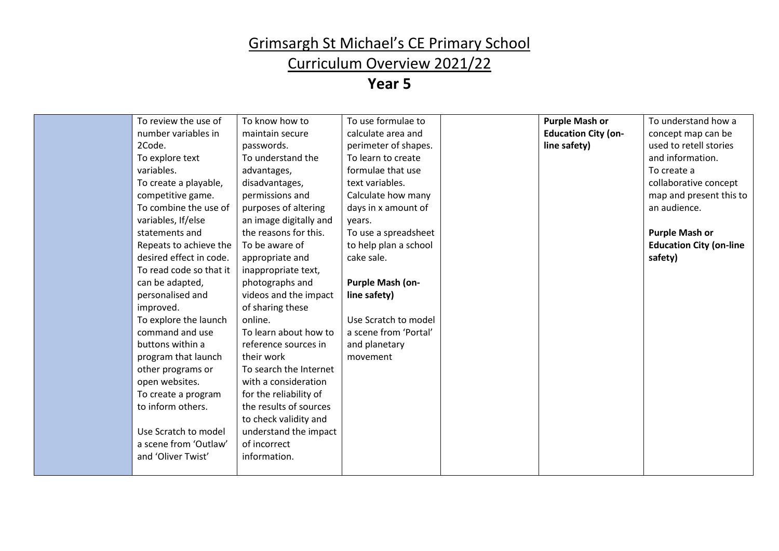### Curriculum Overview 2021/22

| To review the use of    | To know how to         | To use formulae to    | <b>Purple Mash or</b>      | To understand how a            |
|-------------------------|------------------------|-----------------------|----------------------------|--------------------------------|
| number variables in     | maintain secure        | calculate area and    | <b>Education City (on-</b> | concept map can be             |
| 2Code.                  | passwords.             | perimeter of shapes.  | line safety)               | used to retell stories         |
| To explore text         | To understand the      | To learn to create    |                            | and information.               |
| variables.              | advantages,            | formulae that use     |                            | To create a                    |
| To create a playable,   | disadvantages,         | text variables.       |                            | collaborative concept          |
| competitive game.       | permissions and        | Calculate how many    |                            | map and present this to        |
| To combine the use of   | purposes of altering   | days in x amount of   |                            | an audience.                   |
| variables, If/else      | an image digitally and | vears.                |                            |                                |
| statements and          | the reasons for this.  | To use a spreadsheet  |                            | <b>Purple Mash or</b>          |
| Repeats to achieve the  | To be aware of         | to help plan a school |                            | <b>Education City (on-line</b> |
| desired effect in code. | appropriate and        | cake sale.            |                            | safety)                        |
| To read code so that it | inappropriate text,    |                       |                            |                                |
| can be adapted,         | photographs and        | Purple Mash (on-      |                            |                                |
| personalised and        | videos and the impact  | line safety)          |                            |                                |
| improved.               | of sharing these       |                       |                            |                                |
| To explore the launch   | online.                | Use Scratch to model  |                            |                                |
| command and use         | To learn about how to  | a scene from 'Portal' |                            |                                |
| buttons within a        | reference sources in   | and planetary         |                            |                                |
| program that launch     | their work             | movement              |                            |                                |
| other programs or       | To search the Internet |                       |                            |                                |
| open websites.          | with a consideration   |                       |                            |                                |
| To create a program     | for the reliability of |                       |                            |                                |
| to inform others.       | the results of sources |                       |                            |                                |
|                         | to check validity and  |                       |                            |                                |
| Use Scratch to model    | understand the impact  |                       |                            |                                |
| a scene from 'Outlaw'   | of incorrect           |                       |                            |                                |
| and 'Oliver Twist'      | information.           |                       |                            |                                |
|                         |                        |                       |                            |                                |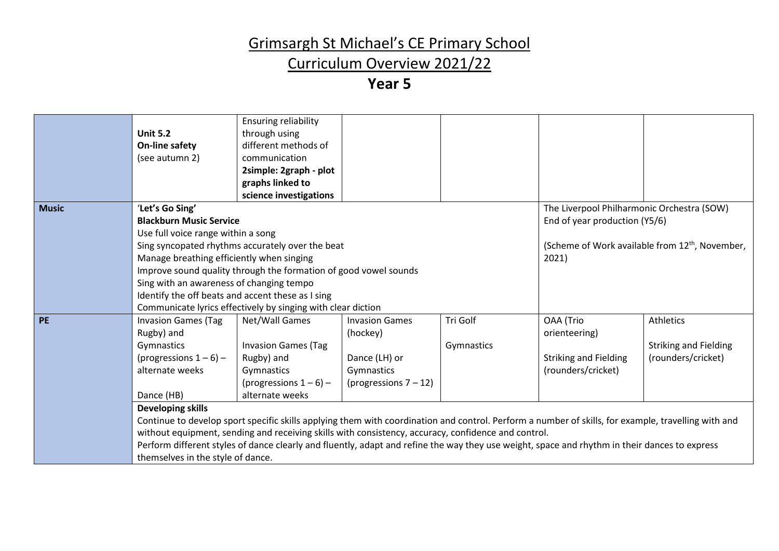### Curriculum Overview 2021/22

|              | <b>Unit 5.2</b><br>On-line safety<br>(see autumn 2)                                                                                                                                 | <b>Ensuring reliability</b><br>through using<br>different methods of<br>communication<br>2simple: 2graph - plot<br>graphs linked to<br>science investigations                                                                             |                                                                                              |                        |                                                                                                                                                                                                                                                                                                                                                                                          |                                                                        |
|--------------|-------------------------------------------------------------------------------------------------------------------------------------------------------------------------------------|-------------------------------------------------------------------------------------------------------------------------------------------------------------------------------------------------------------------------------------------|----------------------------------------------------------------------------------------------|------------------------|------------------------------------------------------------------------------------------------------------------------------------------------------------------------------------------------------------------------------------------------------------------------------------------------------------------------------------------------------------------------------------------|------------------------------------------------------------------------|
| <b>Music</b> | 'Let's Go Sing'<br><b>Blackburn Music Service</b><br>Use full voice range within a song<br>Manage breathing efficiently when singing<br>Sing with an awareness of changing tempo    | Sing syncopated rhythms accurately over the beat<br>Improve sound quality through the formation of good vowel sounds<br>Identify the off beats and accent these as I sing<br>Communicate lyrics effectively by singing with clear diction |                                                                                              |                        | The Liverpool Philharmonic Orchestra (SOW)<br>End of year production (Y5/6)<br>2021)                                                                                                                                                                                                                                                                                                     | (Scheme of Work available from 12 <sup>th</sup> , November,            |
| <b>PE</b>    | <b>Invasion Games (Tag</b><br>Rugby) and<br>Gymnastics<br>(progressions $1-6$ ) –<br>alternate weeks<br>Dance (HB)<br><b>Developing skills</b><br>themselves in the style of dance. | Net/Wall Games<br><b>Invasion Games (Tag</b><br>Rugby) and<br>Gymnastics<br>(progressions $1-6$ ) –<br>alternate weeks<br>without equipment, sending and receiving skills with consistency, accuracy, confidence and control.             | <b>Invasion Games</b><br>(hockey)<br>Dance (LH) or<br>Gymnastics<br>(progressions $7 - 12$ ) | Tri Golf<br>Gymnastics | OAA (Trio<br>orienteering)<br><b>Striking and Fielding</b><br>(rounders/cricket)<br>Continue to develop sport specific skills applying them with coordination and control. Perform a number of skills, for example, travelling with and<br>Perform different styles of dance clearly and fluently, adapt and refine the way they use weight, space and rhythm in their dances to express | <b>Athletics</b><br><b>Striking and Fielding</b><br>(rounders/cricket) |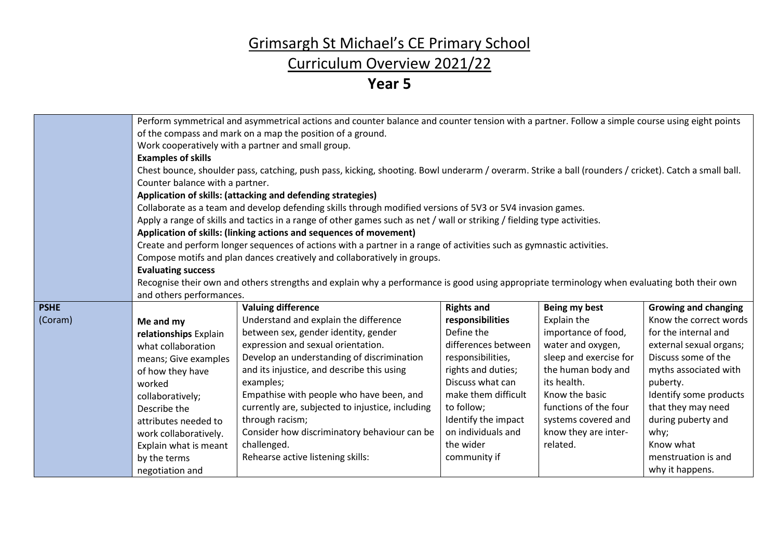### Curriculum Overview 2021/22

|             | Perform symmetrical and asymmetrical actions and counter balance and counter tension with a partner. Follow a simple course using eight points |                                                                                                                                                       |                     |                        |                             |  |
|-------------|------------------------------------------------------------------------------------------------------------------------------------------------|-------------------------------------------------------------------------------------------------------------------------------------------------------|---------------------|------------------------|-----------------------------|--|
|             | of the compass and mark on a map the position of a ground.                                                                                     |                                                                                                                                                       |                     |                        |                             |  |
|             | Work cooperatively with a partner and small group.                                                                                             |                                                                                                                                                       |                     |                        |                             |  |
|             | <b>Examples of skills</b>                                                                                                                      |                                                                                                                                                       |                     |                        |                             |  |
|             |                                                                                                                                                | Chest bounce, shoulder pass, catching, push pass, kicking, shooting. Bowl underarm / overarm. Strike a ball (rounders / cricket). Catch a small ball. |                     |                        |                             |  |
|             | Counter balance with a partner.                                                                                                                |                                                                                                                                                       |                     |                        |                             |  |
|             | Application of skills: (attacking and defending strategies)                                                                                    |                                                                                                                                                       |                     |                        |                             |  |
|             |                                                                                                                                                | Collaborate as a team and develop defending skills through modified versions of 5V3 or 5V4 invasion games.                                            |                     |                        |                             |  |
|             |                                                                                                                                                | Apply a range of skills and tactics in a range of other games such as net / wall or striking / fielding type activities.                              |                     |                        |                             |  |
|             |                                                                                                                                                | Application of skills: (linking actions and sequences of movement)                                                                                    |                     |                        |                             |  |
|             |                                                                                                                                                | Create and perform longer sequences of actions with a partner in a range of activities such as gymnastic activities.                                  |                     |                        |                             |  |
|             |                                                                                                                                                | Compose motifs and plan dances creatively and collaboratively in groups.                                                                              |                     |                        |                             |  |
|             | <b>Evaluating success</b>                                                                                                                      |                                                                                                                                                       |                     |                        |                             |  |
|             |                                                                                                                                                | Recognise their own and others strengths and explain why a performance is good using appropriate terminology when evaluating both their own           |                     |                        |                             |  |
|             | and others performances.                                                                                                                       |                                                                                                                                                       |                     |                        |                             |  |
| <b>PSHE</b> |                                                                                                                                                | <b>Valuing difference</b>                                                                                                                             | <b>Rights and</b>   | Being my best          | <b>Growing and changing</b> |  |
| (Coram)     | Me and my                                                                                                                                      | Understand and explain the difference                                                                                                                 | responsibilities    | Explain the            | Know the correct words      |  |
|             | relationships Explain                                                                                                                          | between sex, gender identity, gender                                                                                                                  | Define the          | importance of food,    | for the internal and        |  |
|             | what collaboration                                                                                                                             | expression and sexual orientation.                                                                                                                    | differences between | water and oxygen,      | external sexual organs;     |  |
|             | means; Give examples                                                                                                                           | Develop an understanding of discrimination                                                                                                            | responsibilities,   | sleep and exercise for | Discuss some of the         |  |
|             | of how they have                                                                                                                               | and its injustice, and describe this using                                                                                                            | rights and duties;  | the human body and     | myths associated with       |  |
|             | worked                                                                                                                                         | examples;                                                                                                                                             | Discuss what can    | its health.            | puberty.                    |  |
|             | collaboratively;                                                                                                                               | Empathise with people who have been, and                                                                                                              | make them difficult | Know the basic         | Identify some products      |  |
|             | Describe the                                                                                                                                   | currently are, subjected to injustice, including                                                                                                      | to follow;          | functions of the four  | that they may need          |  |
|             | attributes needed to                                                                                                                           | through racism;                                                                                                                                       | Identify the impact | systems covered and    | during puberty and          |  |
|             | work collaboratively.                                                                                                                          | Consider how discriminatory behaviour can be                                                                                                          | on individuals and  | know they are inter-   | why;                        |  |
|             | Explain what is meant                                                                                                                          | challenged.                                                                                                                                           | the wider           | related.               | Know what                   |  |
|             | by the terms                                                                                                                                   | Rehearse active listening skills:                                                                                                                     | community if        |                        | menstruation is and         |  |
|             | negotiation and                                                                                                                                |                                                                                                                                                       |                     |                        | why it happens.             |  |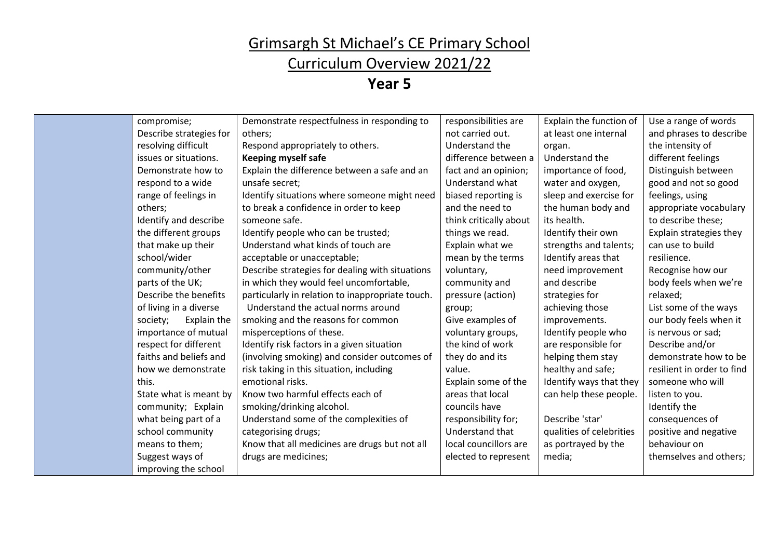### Curriculum Overview 2021/22

| compromise;             | Demonstrate respectfulness in responding to      | responsibilities are   | Explain the function of  | Use a range of words       |
|-------------------------|--------------------------------------------------|------------------------|--------------------------|----------------------------|
| Describe strategies for | others;                                          | not carried out.       | at least one internal    | and phrases to describe    |
| resolving difficult     | Respond appropriately to others.                 | Understand the         | organ.                   | the intensity of           |
| issues or situations.   | <b>Keeping myself safe</b>                       | difference between a   | Understand the           | different feelings         |
| Demonstrate how to      | Explain the difference between a safe and an     | fact and an opinion;   | importance of food,      | Distinguish between        |
| respond to a wide       | unsafe secret:                                   | Understand what        | water and oxygen,        | good and not so good       |
| range of feelings in    | Identify situations where someone might need     | biased reporting is    | sleep and exercise for   | feelings, using            |
| others;                 | to break a confidence in order to keep           | and the need to        | the human body and       | appropriate vocabulary     |
| Identify and describe   | someone safe.                                    | think critically about | its health.              | to describe these;         |
| the different groups    | Identify people who can be trusted;              | things we read.        | Identify their own       | Explain strategies they    |
| that make up their      | Understand what kinds of touch are               | Explain what we        | strengths and talents;   | can use to build           |
| school/wider            | acceptable or unacceptable;                      | mean by the terms      | Identify areas that      | resilience.                |
| community/other         | Describe strategies for dealing with situations  | voluntary,             | need improvement         | Recognise how our          |
| parts of the UK;        | in which they would feel uncomfortable,          | community and          | and describe             | body feels when we're      |
| Describe the benefits   | particularly in relation to inappropriate touch. | pressure (action)      | strategies for           | relaxed;                   |
| of living in a diverse  | Understand the actual norms around               | group;                 | achieving those          | List some of the ways      |
| Explain the<br>society; | smoking and the reasons for common               | Give examples of       | improvements.            | our body feels when it     |
| importance of mutual    | misperceptions of these.                         | voluntary groups,      | Identify people who      | is nervous or sad;         |
| respect for different   | Identify risk factors in a given situation       | the kind of work       | are responsible for      | Describe and/or            |
| faiths and beliefs and  | (involving smoking) and consider outcomes of     | they do and its        | helping them stay        | demonstrate how to be      |
| how we demonstrate      | risk taking in this situation, including         | value.                 | healthy and safe;        | resilient in order to find |
| this.                   | emotional risks.                                 | Explain some of the    | Identify ways that they  | someone who will           |
| State what is meant by  | Know two harmful effects each of                 | areas that local       | can help these people.   | listen to you.             |
| community; Explain      | smoking/drinking alcohol.                        | councils have          |                          | Identify the               |
| what being part of a    | Understand some of the complexities of           | responsibility for;    | Describe 'star'          | consequences of            |
| school community        | categorising drugs;                              | Understand that        | qualities of celebrities | positive and negative      |
| means to them;          | Know that all medicines are drugs but not all    | local councillors are  | as portrayed by the      | behaviour on               |
| Suggest ways of         | drugs are medicines;                             | elected to represent   | media;                   | themselves and others;     |
| improving the school    |                                                  |                        |                          |                            |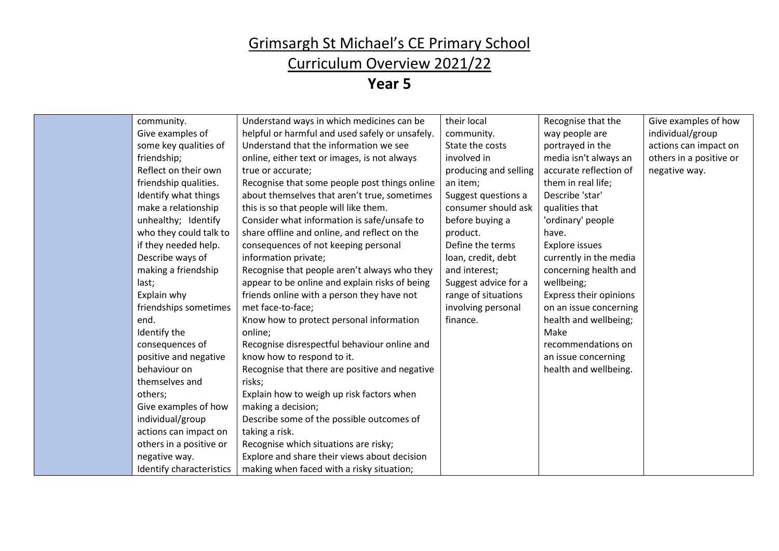### Curriculum Overview 2021/22

| community.               | Understand ways in which medicines can be       | their local           | Recognise that the     | Give examples of how    |
|--------------------------|-------------------------------------------------|-----------------------|------------------------|-------------------------|
| Give examples of         | helpful or harmful and used safely or unsafely. | community.            | way people are         | individual/group        |
| some key qualities of    | Understand that the information we see          | State the costs       | portrayed in the       | actions can impact on   |
| friendship;              | online, either text or images, is not always    | involved in           | media isn't always an  | others in a positive or |
| Reflect on their own     | true or accurate;                               | producing and selling | accurate reflection of | negative way.           |
| friendship qualities.    | Recognise that some people post things online   | an item;              | them in real life;     |                         |
| Identify what things     | about themselves that aren't true, sometimes    | Suggest questions a   | Describe 'star'        |                         |
| make a relationship      | this is so that people will like them.          | consumer should ask   | qualities that         |                         |
| unhealthy; Identify      | Consider what information is safe/unsafe to     | before buying a       | 'ordinary' people      |                         |
| who they could talk to   | share offline and online, and reflect on the    | product.              | have.                  |                         |
| if they needed help.     | consequences of not keeping personal            | Define the terms      | Explore issues         |                         |
| Describe ways of         | information private;                            | loan, credit, debt    | currently in the media |                         |
| making a friendship      | Recognise that people aren't always who they    | and interest;         | concerning health and  |                         |
| last;                    | appear to be online and explain risks of being  | Suggest advice for a  | wellbeing;             |                         |
| Explain why              | friends online with a person they have not      | range of situations   | Express their opinions |                         |
| friendships sometimes    | met face-to-face;                               | involving personal    | on an issue concerning |                         |
| end.                     | Know how to protect personal information        | finance.              | health and wellbeing;  |                         |
| Identify the             | online;                                         |                       | Make                   |                         |
| consequences of          | Recognise disrespectful behaviour online and    |                       | recommendations on     |                         |
| positive and negative    | know how to respond to it.                      |                       | an issue concerning    |                         |
| behaviour on             | Recognise that there are positive and negative  |                       | health and wellbeing.  |                         |
| themselves and           | risks;                                          |                       |                        |                         |
| others;                  | Explain how to weigh up risk factors when       |                       |                        |                         |
| Give examples of how     | making a decision;                              |                       |                        |                         |
| individual/group         | Describe some of the possible outcomes of       |                       |                        |                         |
| actions can impact on    | taking a risk.                                  |                       |                        |                         |
| others in a positive or  | Recognise which situations are risky;           |                       |                        |                         |
| negative way.            | Explore and share their views about decision    |                       |                        |                         |
| Identify characteristics | making when faced with a risky situation;       |                       |                        |                         |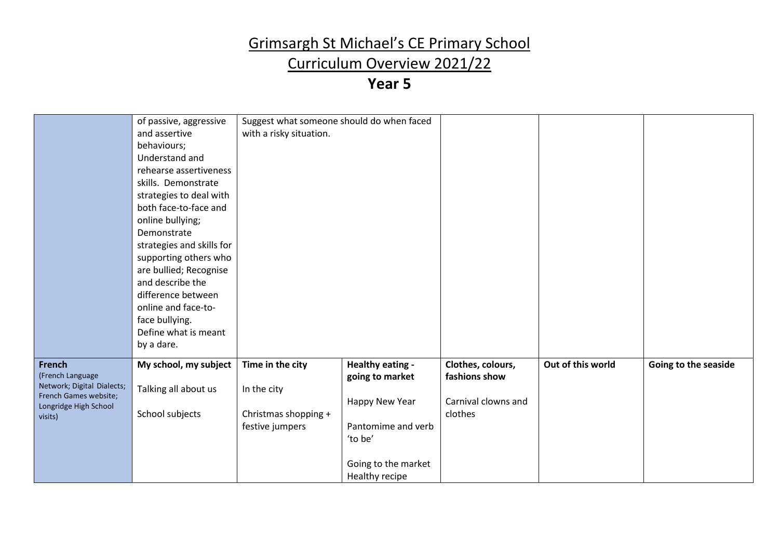### Curriculum Overview 2021/22

|                                  | of passive, aggressive    | Suggest what someone should do when faced |                     |                     |                   |                      |
|----------------------------------|---------------------------|-------------------------------------------|---------------------|---------------------|-------------------|----------------------|
|                                  | and assertive             | with a risky situation.                   |                     |                     |                   |                      |
|                                  | behaviours;               |                                           |                     |                     |                   |                      |
|                                  | Understand and            |                                           |                     |                     |                   |                      |
|                                  | rehearse assertiveness    |                                           |                     |                     |                   |                      |
|                                  | skills. Demonstrate       |                                           |                     |                     |                   |                      |
|                                  | strategies to deal with   |                                           |                     |                     |                   |                      |
|                                  | both face-to-face and     |                                           |                     |                     |                   |                      |
|                                  | online bullying;          |                                           |                     |                     |                   |                      |
|                                  | Demonstrate               |                                           |                     |                     |                   |                      |
|                                  | strategies and skills for |                                           |                     |                     |                   |                      |
|                                  | supporting others who     |                                           |                     |                     |                   |                      |
|                                  | are bullied; Recognise    |                                           |                     |                     |                   |                      |
|                                  | and describe the          |                                           |                     |                     |                   |                      |
|                                  | difference between        |                                           |                     |                     |                   |                      |
|                                  | online and face-to-       |                                           |                     |                     |                   |                      |
|                                  | face bullying.            |                                           |                     |                     |                   |                      |
|                                  | Define what is meant      |                                           |                     |                     |                   |                      |
|                                  | by a dare.                |                                           |                     |                     |                   |                      |
|                                  |                           |                                           |                     |                     |                   |                      |
| <b>French</b>                    | My school, my subject     | Time in the city                          | Healthy eating -    | Clothes, colours,   | Out of this world | Going to the seaside |
| (French Language                 |                           |                                           | going to market     | fashions show       |                   |                      |
| Network; Digital Dialects;       | Talking all about us      | In the city                               |                     |                     |                   |                      |
| French Games website;            |                           |                                           | Happy New Year      | Carnival clowns and |                   |                      |
| Longridge High School<br>visits) | School subjects           | Christmas shopping +                      |                     | clothes             |                   |                      |
|                                  |                           | festive jumpers                           | Pantomime and verb  |                     |                   |                      |
|                                  |                           |                                           | 'to be'             |                     |                   |                      |
|                                  |                           |                                           |                     |                     |                   |                      |
|                                  |                           |                                           | Going to the market |                     |                   |                      |
|                                  |                           |                                           | Healthy recipe      |                     |                   |                      |